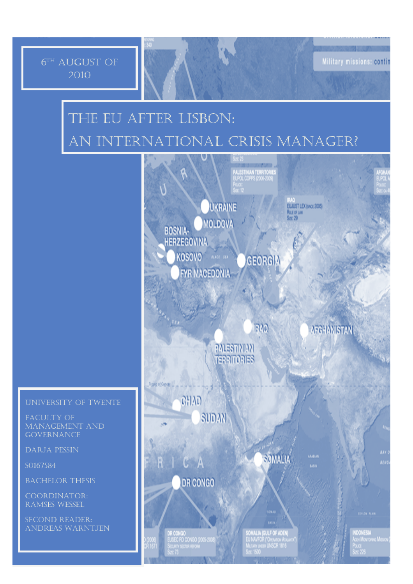# 6 TH aUGUST OF 2010

# tHE eu AFTER lISBON: aN iNTERNATIONAL CRISIS MANAGER?

# uNIVERSITY OF tWENTE

fACULTY OF mANAGEMENT AND **GOVERNANCE** 

dARJA pESSIN

s0167584

bACHELOR tHESIS

cOORDINATOR: rAMSES wESSEL

sECOND rEADER: aNDREAS wARNTJEN



Military missions: contin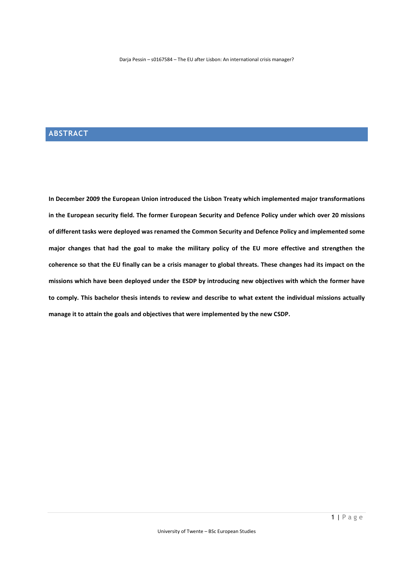# **ABSTRACT**

**In December 2009 the European Union introduced the Lisbon Treaty which implemented major transformations in the European security field. The former European Security and Defence Policy under which over 20 missions of different tasks were deployed was renamed the Common Security and Defence Policy and implemented some major changes that had the goal to make the military policy of the EU more effective and strengthen the coherence so that the EU finally can be a crisis manager to global threats. These changes had its impact on the missions which have been deployed under the ESDP by introducing new objectives with which the former have to comply. This bachelor thesis intends to review and describe to what extent the individual missions actually manage it to attain the goals and objectives that were implemented by the new CSDP.**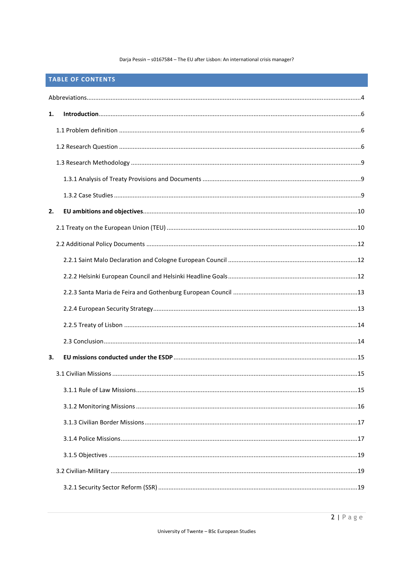# TABLE OF CONTENTS

| 1. |  |  |  |
|----|--|--|--|
|    |  |  |  |
|    |  |  |  |
|    |  |  |  |
|    |  |  |  |
|    |  |  |  |
| 2. |  |  |  |
|    |  |  |  |
|    |  |  |  |
|    |  |  |  |
|    |  |  |  |
|    |  |  |  |
|    |  |  |  |
|    |  |  |  |
|    |  |  |  |
| З. |  |  |  |
|    |  |  |  |
|    |  |  |  |
|    |  |  |  |
|    |  |  |  |
|    |  |  |  |
|    |  |  |  |
|    |  |  |  |
|    |  |  |  |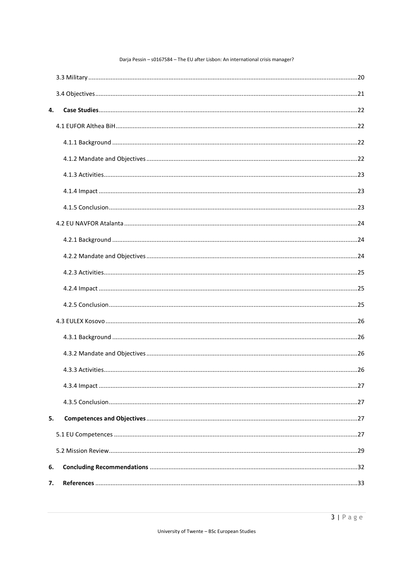| 4. |  |  |
|----|--|--|
|    |  |  |
|    |  |  |
|    |  |  |
|    |  |  |
|    |  |  |
|    |  |  |
|    |  |  |
|    |  |  |
|    |  |  |
|    |  |  |
|    |  |  |
|    |  |  |
|    |  |  |
|    |  |  |
|    |  |  |
|    |  |  |
|    |  |  |
|    |  |  |
| 5. |  |  |
|    |  |  |
|    |  |  |
| 6. |  |  |
| 7. |  |  |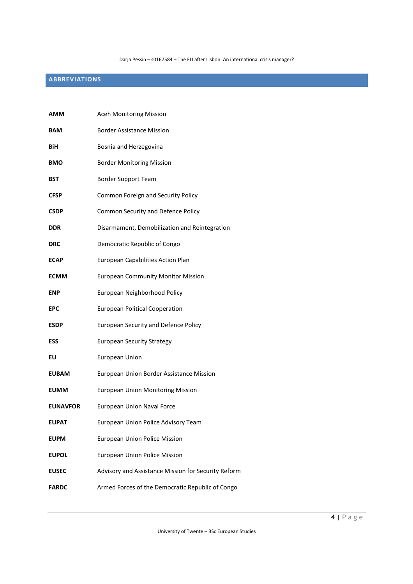# **ABBREVIATIONS**

| AMM             | Aceh Monitoring Mission                             |
|-----------------|-----------------------------------------------------|
| BAM             | <b>Border Assistance Mission</b>                    |
| BiH             | Bosnia and Herzegovina                              |
| BMO             | <b>Border Monitoring Mission</b>                    |
| BST             | <b>Border Support Team</b>                          |
| CFSP            | Common Foreign and Security Policy                  |
| <b>CSDP</b>     | Common Security and Defence Policy                  |
| DDR             | Disarmament, Demobilization and Reintegration       |
| DRC             | Democratic Republic of Congo                        |
| ECAP            | European Capabilities Action Plan                   |
| ECMM            | <b>European Community Monitor Mission</b>           |
| ENP             | European Neighborhood Policy                        |
| EPC             | <b>European Political Cooperation</b>               |
| ESDP            | <b>European Security and Defence Policy</b>         |
| ESS             | <b>European Security Strategy</b>                   |
| ΕU              | European Union                                      |
| EUBAM           | European Union Border Assistance Mission            |
| EUMM            | <b>European Union Monitoring Mission</b>            |
| <b>EUNAVFOR</b> | <b>European Union Naval Force</b>                   |
| EUPAT           | European Union Police Advisory Team                 |
| EUPM            | <b>European Union Police Mission</b>                |
| EUPOL           | <b>European Union Police Mission</b>                |
| EUSEC           | Advisory and Assistance Mission for Security Reform |
| <b>FARDC</b>    | Armed Forces of the Democratic Republic of Congo    |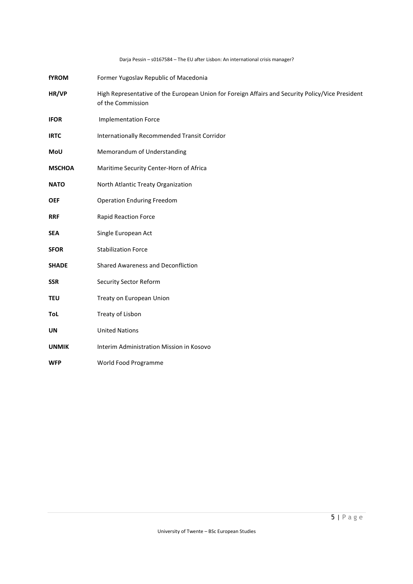| <b>fYROM</b>  | Former Yugoslav Republic of Macedonia                                                                                 |
|---------------|-----------------------------------------------------------------------------------------------------------------------|
| HR/VP         | High Representative of the European Union for Foreign Affairs and Security Policy/Vice President<br>of the Commission |
| <b>IFOR</b>   | <b>Implementation Force</b>                                                                                           |
| <b>IRTC</b>   | Internationally Recommended Transit Corridor                                                                          |
| MoU           | Memorandum of Understanding                                                                                           |
| <b>MSCHOA</b> | Maritime Security Center-Horn of Africa                                                                               |
| <b>NATO</b>   | North Atlantic Treaty Organization                                                                                    |
| <b>OEF</b>    | <b>Operation Enduring Freedom</b>                                                                                     |
| <b>RRF</b>    | <b>Rapid Reaction Force</b>                                                                                           |
| <b>SEA</b>    | Single European Act                                                                                                   |
| <b>SFOR</b>   | <b>Stabilization Force</b>                                                                                            |
| <b>SHADE</b>  | <b>Shared Awareness and Deconfliction</b>                                                                             |
| <b>SSR</b>    | <b>Security Sector Reform</b>                                                                                         |
| <b>TEU</b>    | Treaty on European Union                                                                                              |
| ToL           | Treaty of Lisbon                                                                                                      |
| <b>UN</b>     | <b>United Nations</b>                                                                                                 |
| <b>UNMIK</b>  | Interim Administration Mission in Kosovo                                                                              |
| <b>WFP</b>    | World Food Programme                                                                                                  |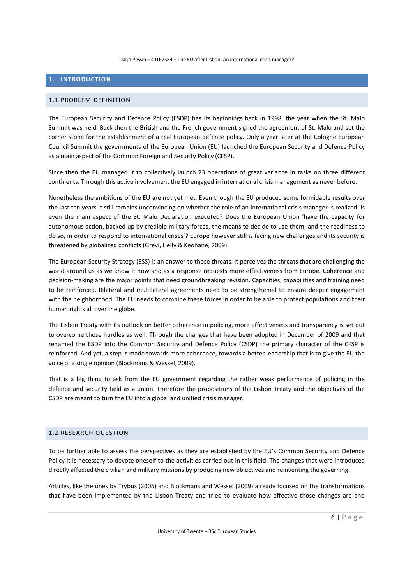# **1. INTRODUCTION**

#### 1.1 PROBLEM DEFINITION

The European Security and Defence Policy (ESDP) has its beginnings back in 1998, the year when the St. Malo Summit was held. Back then the British and the French government signed the agreement of St. Malo and set the corner stone for the establishment of a real European defence policy. Only a year later at the Cologne European Council Summit the governments of the European Union (EU) launched the European Security and Defence Policy as a main aspect of the Common Foreign and Security Policy (CFSP).

Since then the EU managed it to collectively launch 23 operations of great variance in tasks on three different continents. Through this active involvement the EU engaged in international crisis management as never before.

Nonetheless the ambitions of the EU are not yet met. Even though the EU produced some formidable results over the last ten years it still remains unconvincing on whether the role of an international crisis manager is realized. Is even the main aspect of the St. Malo Declaration executed? Does the European Union 'have the capacity for autonomous action, backed up by credible military forces, the means to decide to use them, and the readiness to do so, in order to respond to international crises'? Europe however still is facing new challenges and its security is threatened by globalized conflicts (Grevi, Helly & Keohane, 2009).

The European Security Strategy (ESS) is an answer to those threats. It perceives the threats that are challenging the world around us as we know it now and as a response requests more effectiveness from Europe. Coherence and decision-making are the major points that need groundbreaking revision. Capacities, capabilities and training need to be reinforced. Bilateral and multilateral agreements need to be strengthened to ensure deeper engagement with the neighborhood. The EU needs to combine these forces in order to be able to protect populations and their human rights all over the globe.

The Lisbon Treaty with its outlook on better coherence in policing, more effectiveness and transparency is set out to overcome those hurdles as well. Through the changes that have been adopted in December of 2009 and that renamed the ESDP into the Common Security and Defence Policy (CSDP) the primary character of the CFSP is reinforced. And yet, a step is made towards more coherence, towards a better leadership that is to give the EU the voice of a single opinion (Blockmans & Wessel, 2009).

That is a big thing to ask from the EU government regarding the rather weak performance of policing in the defence and security field as a union. Therefore the propositions of the Lisbon Treaty and the objectives of the CSDP are meant to turn the EU into a global and unified crisis manager.

# 1.2 RESEARCH QUESTION

To be further able to assess the perspectives as they are established by the EU's Common Security and Defence Policy it is necessary to devote oneself to the activities carried out in this field. The changes that were introduced directly affected the civilian and military missions by producing new objectives and reinventing the governing.

Articles, like the ones by Trybus (2005) and Blockmans and Wessel (2009) already focused on the transformations that have been implemented by the Lisbon Treaty and tried to evaluate how effective those changes are and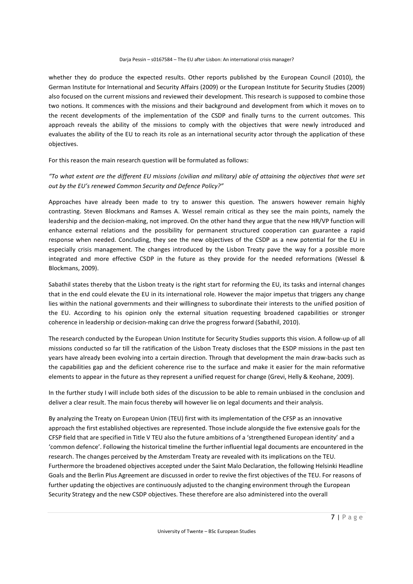whether they do produce the expected results. Other reports published by the European Council (2010), the German Institute for International and Security Affairs (2009) or the European Institute for Security Studies (2009) also focused on the current missions and reviewed their development. This research is supposed to combine those two notions. It commences with the missions and their background and development from which it moves on to the recent developments of the implementation of the CSDP and finally turns to the current outcomes. This approach reveals the ability of the missions to comply with the objectives that were newly introduced and evaluates the ability of the EU to reach its role as an international security actor through the application of these objectives.

For this reason the main research question will be formulated as follows:

*"To what extent are the different EU missions (civilian and military) able of attaining the objectives that were set out by the EU's renewed Common Security and Defence Policy?"* 

Approaches have already been made to try to answer this question. The answers however remain highly contrasting. Steven Blockmans and Ramses A. Wessel remain critical as they see the main points, namely the leadership and the decision-making, not improved. On the other hand they argue that the new HR/VP function will enhance external relations and the possibility for permanent structured cooperation can guarantee a rapid response when needed. Concluding, they see the new objectives of the CSDP as a new potential for the EU in especially crisis management. The changes introduced by the Lisbon Treaty pave the way for a possible more integrated and more effective CSDP in the future as they provide for the needed reformations (Wessel & Blockmans, 2009).

Sabathil states thereby that the Lisbon treaty is the right start for reforming the EU, its tasks and internal changes that in the end could elevate the EU in its international role. However the major impetus that triggers any change lies within the national governments and their willingness to subordinate their interests to the unified position of the EU. According to his opinion only the external situation requesting broadened capabilities or stronger coherence in leadership or decision-making can drive the progress forward (Sabathil, 2010).

The research conducted by the European Union Institute for Security Studies supports this vision. A follow-up of all missions conducted so far till the ratification of the Lisbon Treaty discloses that the ESDP missions in the past ten years have already been evolving into a certain direction. Through that development the main draw-backs such as the capabilities gap and the deficient coherence rise to the surface and make it easier for the main reformative elements to appear in the future as they represent a unified request for change (Grevi, Helly & Keohane, 2009).

In the further study I will include both sides of the discussion to be able to remain unbiased in the conclusion and deliver a clear result. The main focus thereby will however lie on legal documents and their analysis.

By analyzing the Treaty on European Union (TEU) first with its implementation of the CFSP as an innovative approach the first established objectives are represented. Those include alongside the five extensive goals for the CFSP field that are specified in Title V TEU also the future ambitions of a 'strengthened European identity' and a 'common defence'. Following the historical timeline the further influential legal documents are encountered in the research. The changes perceived by the Amsterdam Treaty are revealed with its implications on the TEU. Furthermore the broadened objectives accepted under the Saint Malo Declaration, the following Helsinki Headline Goals and the Berlin Plus Agreement are discussed in order to revive the first objectives of the TEU. For reasons of further updating the objectives are continuously adjusted to the changing environment through the European Security Strategy and the new CSDP objectives. These therefore are also administered into the overall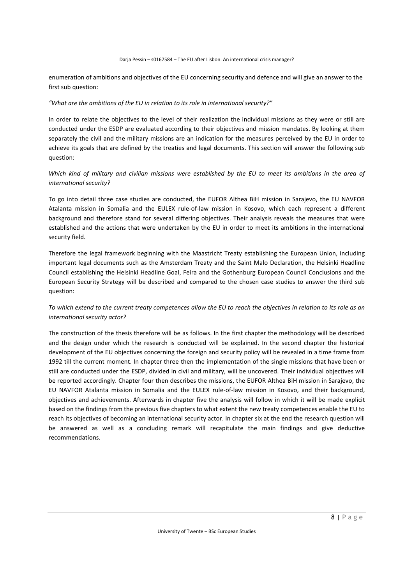enumeration of ambitions and objectives of the EU concerning security and defence and will give an answer to the first sub question:

#### *"What are the ambitions of the EU in relation to its role in international security?"*

In order to relate the objectives to the level of their realization the individual missions as they were or still are conducted under the ESDP are evaluated according to their objectives and mission mandates. By looking at them separately the civil and the military missions are an indication for the measures perceived by the EU in order to achieve its goals that are defined by the treaties and legal documents. This section will answer the following sub question:

# *Which kind of military and civilian missions were established by the EU to meet its ambitions in the area of international security?*

To go into detail three case studies are conducted, the EUFOR Althea BiH mission in Sarajevo, the EU NAVFOR Atalanta mission in Somalia and the EULEX rule-of-law mission in Kosovo, which each represent a different background and therefore stand for several differing objectives. Their analysis reveals the measures that were established and the actions that were undertaken by the EU in order to meet its ambitions in the international security field.

Therefore the legal framework beginning with the Maastricht Treaty establishing the European Union, including important legal documents such as the Amsterdam Treaty and the Saint Malo Declaration, the Helsinki Headline Council establishing the Helsinki Headline Goal, Feira and the Gothenburg European Council Conclusions and the European Security Strategy will be described and compared to the chosen case studies to answer the third sub question:

# *To which extend to the current treaty competences allow the EU to reach the objectives in relation to its role as an international security actor?*

The construction of the thesis therefore will be as follows. In the first chapter the methodology will be described and the design under which the research is conducted will be explained. In the second chapter the historical development of the EU objectives concerning the foreign and security policy will be revealed in a time frame from 1992 till the current moment. In chapter three then the implementation of the single missions that have been or still are conducted under the ESDP, divided in civil and military, will be uncovered. Their individual objectives will be reported accordingly. Chapter four then describes the missions, the EUFOR Althea BiH mission in Sarajevo, the EU NAVFOR Atalanta mission in Somalia and the EULEX rule-of-law mission in Kosovo, and their background, objectives and achievements. Afterwards in chapter five the analysis will follow in which it will be made explicit based on the findings from the previous five chapters to what extent the new treaty competences enable the EU to reach its objectives of becoming an international security actor. In chapter six at the end the research question will be answered as well as a concluding remark will recapitulate the main findings and give deductive recommendations.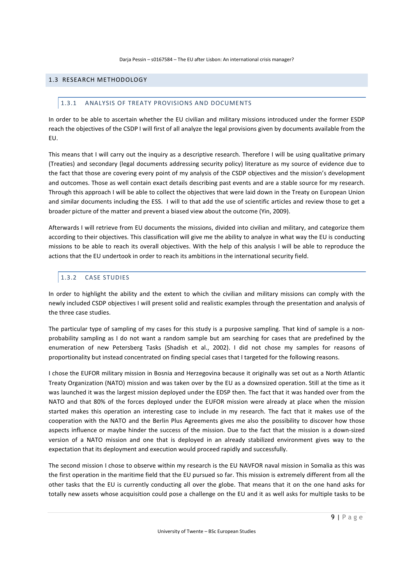## 1.3 RESEARCH METHODOLOGY

#### 1.3.1 ANALYSIS OF TREATY PROVISIONS AND DOCUMENTS

In order to be able to ascertain whether the EU civilian and military missions introduced under the former ESDP reach the objectives of the CSDP I will first of all analyze the legal provisions given by documents available from the EU.

This means that I will carry out the inquiry as a descriptive research. Therefore I will be using qualitative primary (Treaties) and secondary (legal documents addressing security policy) literature as my source of evidence due to the fact that those are covering every point of my analysis of the CSDP objectives and the mission's development and outcomes. Those as well contain exact details describing past events and are a stable source for my research. Through this approach I will be able to collect the objectives that were laid down in the Treaty on European Union and similar documents including the ESS. I will to that add the use of scientific articles and review those to get a broader picture of the matter and prevent a biased view about the outcome (Yin, 2009).

Afterwards I will retrieve from EU documents the missions, divided into civilian and military, and categorize them according to their objectives. This classification will give me the ability to analyze in what way the EU is conducting missions to be able to reach its overall objectives. With the help of this analysis I will be able to reproduce the actions that the EU undertook in order to reach its ambitions in the international security field.

# 1.3.2 CASE STUDIES

In order to highlight the ability and the extent to which the civilian and military missions can comply with the newly included CSDP objectives I will present solid and realistic examples through the presentation and analysis of the three case studies.

The particular type of sampling of my cases for this study is a purposive sampling. That kind of sample is a nonprobability sampling as I do not want a random sample but am searching for cases that are predefined by the enumeration of new Petersberg Tasks (Shadish et al., 2002). I did not chose my samples for reasons of proportionality but instead concentrated on finding special cases that I targeted for the following reasons.

I chose the EUFOR military mission in Bosnia and Herzegovina because it originally was set out as a North Atlantic Treaty Organization (NATO) mission and was taken over by the EU as a downsized operation. Still at the time as it was launched it was the largest mission deployed under the EDSP then. The fact that it was handed over from the NATO and that 80% of the forces deployed under the EUFOR mission were already at place when the mission started makes this operation an interesting case to include in my research. The fact that it makes use of the cooperation with the NATO and the Berlin Plus Agreements gives me also the possibility to discover how those aspects influence or maybe hinder the success of the mission. Due to the fact that the mission is a down-sized version of a NATO mission and one that is deployed in an already stabilized environment gives way to the expectation that its deployment and execution would proceed rapidly and successfully.

The second mission I chose to observe within my research is the EU NAVFOR naval mission in Somalia as this was the first operation in the maritime field that the EU pursued so far. This mission is extremely different from all the other tasks that the EU is currently conducting all over the globe. That means that it on the one hand asks for totally new assets whose acquisition could pose a challenge on the EU and it as well asks for multiple tasks to be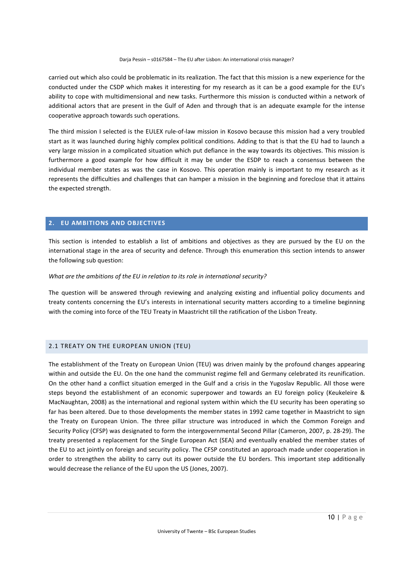carried out which also could be problematic in its realization. The fact that this mission is a new experience for the conducted under the CSDP which makes it interesting for my research as it can be a good example for the EU's ability to cope with multidimensional and new tasks. Furthermore this mission is conducted within a network of additional actors that are present in the Gulf of Aden and through that is an adequate example for the intense cooperative approach towards such operations.

The third mission I selected is the EULEX rule-of-law mission in Kosovo because this mission had a very troubled start as it was launched during highly complex political conditions. Adding to that is that the EU had to launch a very large mission in a complicated situation which put defiance in the way towards its objectives. This mission is furthermore a good example for how difficult it may be under the ESDP to reach a consensus between the individual member states as was the case in Kosovo. This operation mainly is important to my research as it represents the difficulties and challenges that can hamper a mission in the beginning and foreclose that it attains the expected strength.

# **2. EU AMBITIONS AND OBJECTIVES**

This section is intended to establish a list of ambitions and objectives as they are pursued by the EU on the international stage in the area of security and defence. Through this enumeration this section intends to answer the following sub question:

#### *What are the ambitions of the EU in relation to its role in international security?*

The question will be answered through reviewing and analyzing existing and influential policy documents and treaty contents concerning the EU's interests in international security matters according to a timeline beginning with the coming into force of the TEU Treaty in Maastricht till the ratification of the Lisbon Treaty.

#### 2.1 TREATY ON THE EUROPEAN UNION (TEU)

The establishment of the Treaty on European Union (TEU) was driven mainly by the profound changes appearing within and outside the EU. On the one hand the communist regime fell and Germany celebrated its reunification. On the other hand a conflict situation emerged in the Gulf and a crisis in the Yugoslav Republic. All those were steps beyond the establishment of an economic superpower and towards an EU foreign policy (Keukeleire & MacNaughtan, 2008) as the international and regional system within which the EU security has been operating so far has been altered. Due to those developments the member states in 1992 came together in Maastricht to sign the Treaty on European Union. The three pillar structure was introduced in which the Common Foreign and Security Policy (CFSP) was designated to form the intergovernmental Second Pillar (Cameron, 2007, p. 28-29). The treaty presented a replacement for the Single European Act (SEA) and eventually enabled the member states of the EU to act jointly on foreign and security policy. The CFSP constituted an approach made under cooperation in order to strengthen the ability to carry out its power outside the EU borders. This important step additionally would decrease the reliance of the EU upon the US (Jones, 2007).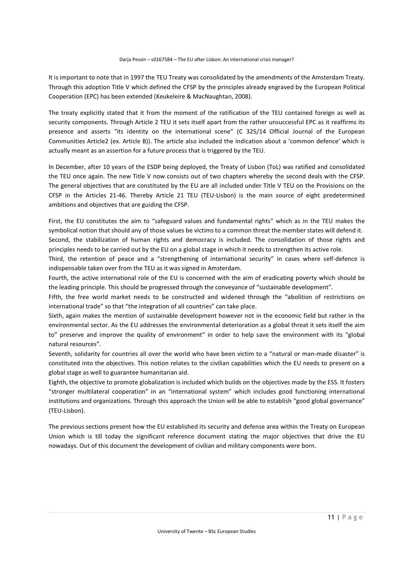It is important to note that in 1997 the TEU Treaty was consolidated by the amendments of the Amsterdam Treaty. Through this adoption Title V which defined the CFSP by the principles already engraved by the European Political Cooperation (EPC) has been extended (Keukeleire & MacNaughtan, 2008).

The treaty explicitly stated that it from the moment of the ratification of the TEU contained foreign as well as security components. Through Article 2 TEU it sets itself apart from the rather unsuccessful EPC as it reaffirms its presence and asserts "its identity on the international scene" (C 325/14 Official Journal of the European Communities Article2 (ex. Article B)). The article also included the indication about a 'common defence' which is actually meant as an assertion for a future process that is triggered by the TEU.

In December, after 10 years of the ESDP being deployed, the Treaty of Lisbon (ToL) was ratified and consolidated the TEU once again. The new Title V now consists out of two chapters whereby the second deals with the CFSP. The general objectives that are constituted by the EU are all included under Title V TEU on the Provisions on the CFSP in the Articles 21-46. Thereby Article 21 TEU (TEU-Lisbon) is the main source of eight predetermined ambitions and objectives that are guiding the CFSP.

First, the EU constitutes the aim to "safeguard values and fundamental rights" which as in the TEU makes the symbolical notion that should any of those values be victims to a common threat the member states will defend it. Second, the stabilization of human rights and democracy is included. The consolidation of those rights and principles needs to be carried out by the EU on a global stage in which it needs to strengthen its active role.

Third, the retention of peace and a "strengthening of international security" in cases where self-defence is indispensable taken over from the TEU as it was signed in Amsterdam.

Fourth, the active international role of the EU is concerned with the aim of eradicating poverty which should be the leading principle. This should be progressed through the conveyance of "sustainable development".

Fifth, the free world market needs to be constructed and widened through the "abolition of restrictions on international trade" so that "the integration of all countries" can take place.

Sixth, again makes the mention of sustainable development however not in the economic field but rather in the environmental sector. As the EU addresses the environmental deterioration as a global threat it sets itself the aim to" preserve and improve the quality of environment" in order to help save the environment with its "global natural resources".

Seventh, solidarity for countries all over the world who have been victim to a "natural or man-made disaster" is constituted into the objectives. This notion relates to the civilian capabilities which the EU needs to present on a global stage as well to guarantee humanitarian aid.

Eighth, the objective to promote globalization is included which builds on the objectives made by the ESS. It fosters "stronger multilateral cooperation" in an "international system" which includes good functioning international institutions and organizations. Through this approach the Union will be able to establish "good global governance" (TEU-Lisbon).

The previous sections present how the EU established its security and defense area within the Treaty on European Union which is till today the significant reference document stating the major objectives that drive the EU nowadays. Out of this document the development of civilian and military components were born.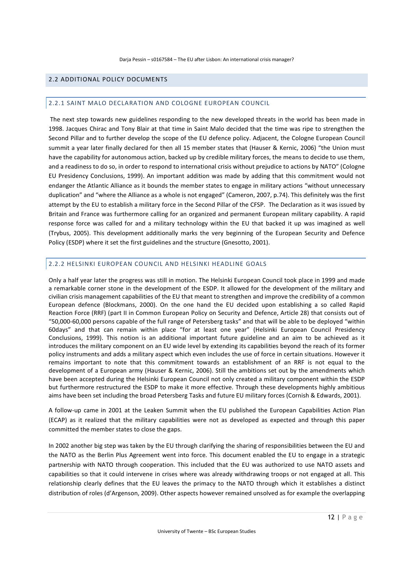# 2.2 ADDITIONAL POLICY DOCUMENTS

#### 2.2.1 SAINT MALO DECLARATION AND COLOGNE EUROPEAN COUNCIL

 The next step towards new guidelines responding to the new developed threats in the world has been made in 1998. Jacques Chirac and Tony Blair at that time in Saint Malo decided that the time was ripe to strengthen the Second Pillar and to further develop the scope of the EU defence policy. Adjacent, the Cologne European Council summit a year later finally declared for then all 15 member states that (Hauser & Kernic, 2006) "the Union must have the capability for autonomous action, backed up by credible military forces, the means to decide to use them, and a readiness to do so, in order to respond to international crisis without prejudice to actions by NATO" (Cologne EU Presidency Conclusions, 1999). An important addition was made by adding that this commitment would not endanger the Atlantic Alliance as it bounds the member states to engage in military actions "without unnecessary duplication" and "where the Alliance as a whole is not engaged" (Cameron, 2007, p.74). This definitely was the first attempt by the EU to establish a military force in the Second Pillar of the CFSP. The Declaration as it was issued by Britain and France was furthermore calling for an organized and permanent European military capability. A rapid response force was called for and a military technology within the EU that backed it up was imagined as well (Trybus, 2005). This development additionally marks the very beginning of the European Security and Defence Policy (ESDP) where it set the first guidelines and the structure (Gnesotto, 2001).

#### 2.2.2 HELSINKI EUROPEAN COUNCIL AND HELSINKI HEADLINE GOALS

Only a half year later the progress was still in motion. The Helsinki European Council took place in 1999 and made a remarkable corner stone in the development of the ESDP. It allowed for the development of the military and civilian crisis management capabilities of the EU that meant to strengthen and improve the credibility of a common European defence (Blockmans, 2000). On the one hand the EU decided upon establishing a so called Rapid Reaction Force (RRF) (part II in Common European Policy on Security and Defence, Article 28) that consists out of "50,000-60,000 persons capable of the full range of Petersberg tasks" and that will be able to be deployed "within 60days" and that can remain within place "for at least one year" (Helsinki European Council Presidency Conclusions, 1999). This notion is an additional important future guideline and an aim to be achieved as it introduces the military component on an EU wide level by extending its capabilities beyond the reach of its former policy instruments and adds a military aspect which even includes the use of force in certain situations. However it remains important to note that this commitment towards an establishment of an RRF is not equal to the development of a European army (Hauser & Kernic, 2006). Still the ambitions set out by the amendments which have been accepted during the Helsinki European Council not only created a military component within the ESDP but furthermore restructured the ESDP to make it more effective. Through these developments highly ambitious aims have been set including the broad Petersberg Tasks and future EU military forces (Cornish & Edwards, 2001).

A follow-up came in 2001 at the Leaken Summit when the EU published the European Capabilities Action Plan (ECAP) as it realized that the military capabilities were not as developed as expected and through this paper committed the member states to close the gaps.

In 2002 another big step was taken by the EU through clarifying the sharing of responsibilities between the EU and the NATO as the Berlin Plus Agreement went into force. This document enabled the EU to engage in a strategic partnership with NATO through cooperation. This included that the EU was authorized to use NATO assets and capabilities so that it could intervene in crises where was already withdrawing troops or not engaged at all. This relationship clearly defines that the EU leaves the primacy to the NATO through which it establishes a distinct distribution of roles (d'Argenson, 2009). Other aspects however remained unsolved as for example the overlapping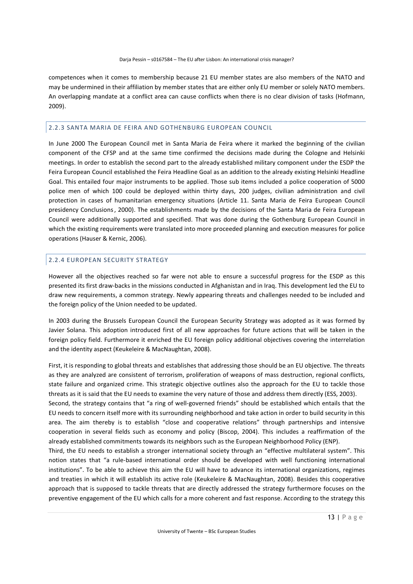competences when it comes to membership because 21 EU member states are also members of the NATO and may be undermined in their affiliation by member states that are either only EU member or solely NATO members. An overlapping mandate at a conflict area can cause conflicts when there is no clear division of tasks (Hofmann, 2009).

#### 2.2.3 SANTA MARIA DE FEIRA AND GOTHENBURG EUROPEAN COUNCIL

In June 2000 The European Council met in Santa Maria de Feira where it marked the beginning of the civilian component of the CFSP and at the same time confirmed the decisions made during the Cologne and Helsinki meetings. In order to establish the second part to the already established military component under the ESDP the Feira European Council established the Feira Headline Goal as an addition to the already existing Helsinki Headline Goal. This entailed four major instruments to be applied. Those sub items included a police cooperation of 5000 police men of which 100 could be deployed within thirty days, 200 judges, civilian administration and civil protection in cases of humanitarian emergency situations (Article 11. Santa Maria de Feira European Council presidency Conclusions, 2000). The establishments made by the decisions of the Santa Maria de Feira European Council were additionally supported and specified. That was done during the Gothenburg European Council in which the existing requirements were translated into more proceeded planning and execution measures for police operations (Hauser & Kernic, 2006).

#### 2.2.4 EUROPEAN SECURITY STRATEGY

However all the objectives reached so far were not able to ensure a successful progress for the ESDP as this presented its first draw-backs in the missions conducted in Afghanistan and in Iraq. This development led the EU to draw new requirements, a common strategy. Newly appearing threats and challenges needed to be included and the foreign policy of the Union needed to be updated.

In 2003 during the Brussels European Council the European Security Strategy was adopted as it was formed by Javier Solana. This adoption introduced first of all new approaches for future actions that will be taken in the foreign policy field. Furthermore it enriched the EU foreign policy additional objectives covering the interrelation and the identity aspect (Keukeleire & MacNaughtan, 2008).

First, it is responding to global threats and establishes that addressing those should be an EU objective. The threats as they are analyzed are consistent of terrorism, proliferation of weapons of mass destruction, regional conflicts, state failure and organized crime. This strategic objective outlines also the approach for the EU to tackle those threats as it is said that the EU needs to examine the very nature of those and address them directly (ESS, 2003).

Second, the strategy contains that "a ring of well-governed friends" should be established which entails that the EU needs to concern itself more with its surrounding neighborhood and take action in order to build security in this area. The aim thereby is to establish "close and cooperative relations" through partnerships and intensive cooperation in several fields such as economy and policy (Biscop, 2004). This includes a reaffirmation of the already established commitments towards its neighbors such as the European Neighborhood Policy (ENP).

Third, the EU needs to establish a stronger international society through an "effective multilateral system". This notion states that "a rule-based international order should be developed with well functioning international institutions". To be able to achieve this aim the EU will have to advance its international organizations, regimes and treaties in which it will establish its active role (Keukeleire & MacNaughtan, 2008). Besides this cooperative approach that is supposed to tackle threats that are directly addressed the strategy furthermore focuses on the preventive engagement of the EU which calls for a more coherent and fast response. According to the strategy this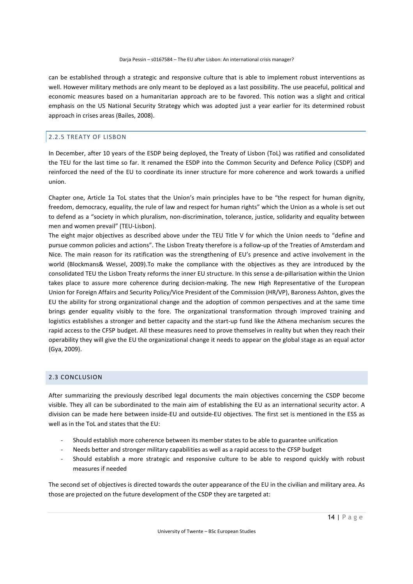can be established through a strategic and responsive culture that is able to implement robust interventions as well. However military methods are only meant to be deployed as a last possibility. The use peaceful, political and economic measures based on a humanitarian approach are to be favored. This notion was a slight and critical emphasis on the US National Security Strategy which was adopted just a year earlier for its determined robust approach in crises areas (Bailes, 2008).

# 2.2.5 TREATY OF LISBON

In December, after 10 years of the ESDP being deployed, the Treaty of Lisbon (ToL) was ratified and consolidated the TEU for the last time so far. It renamed the ESDP into the Common Security and Defence Policy (CSDP) and reinforced the need of the EU to coordinate its inner structure for more coherence and work towards a unified union.

Chapter one, Article 1a ToL states that the Union's main principles have to be "the respect for human dignity, freedom, democracy, equality, the rule of law and respect for human rights" which the Union as a whole is set out to defend as a "society in which pluralism, non-discrimination, tolerance, justice, solidarity and equality between men and women prevail" (TEU-Lisbon).

The eight major objectives as described above under the TEU Title V for which the Union needs to "define and pursue common policies and actions". The Lisbon Treaty therefore is a follow-up of the Treaties of Amsterdam and Nice. The main reason for its ratification was the strengthening of EU's presence and active involvement in the world (Blockmans& Wessel, 2009).To make the compliance with the objectives as they are introduced by the consolidated TEU the Lisbon Treaty reforms the inner EU structure. In this sense a de-pillarisation within the Union takes place to assure more coherence during decision-making. The new High Representative of the European Union for Foreign Affairs and Security Policy/Vice President of the Commission (HR/VP), Baroness Ashton, gives the EU the ability for strong organizational change and the adoption of common perspectives and at the same time brings gender equality visibly to the fore. The organizational transformation through improved training and logistics establishes a stronger and better capacity and the start-up fund like the Athena mechanism secures the rapid access to the CFSP budget. All these measures need to prove themselves in reality but when they reach their operability they will give the EU the organizational change it needs to appear on the global stage as an equal actor (Gya, 2009).

# 2.3 CONCLUSION

After summarizing the previously described legal documents the main objectives concerning the CSDP become visible. They all can be subordinated to the main aim of establishing the EU as an international security actor. A division can be made here between inside-EU and outside-EU objectives. The first set is mentioned in the ESS as well as in the ToL and states that the EU:

- Should establish more coherence between its member states to be able to guarantee unification
- Needs better and stronger military capabilities as well as a rapid access to the CFSP budget
- Should establish a more strategic and responsive culture to be able to respond quickly with robust measures if needed

The second set of objectives is directed towards the outer appearance of the EU in the civilian and military area. As those are projected on the future development of the CSDP they are targeted at: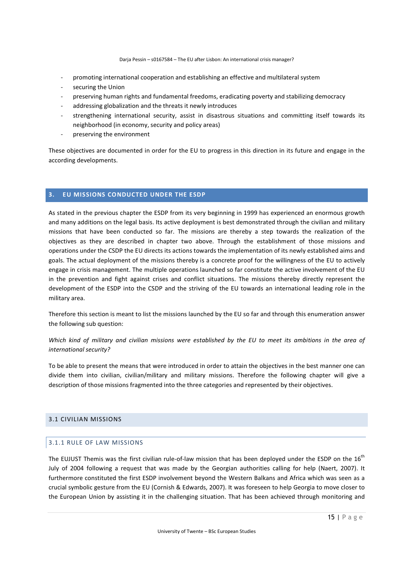- promoting international cooperation and establishing an effective and multilateral system
- securing the Union
- preserving human rights and fundamental freedoms, eradicating poverty and stabilizing democracy
- addressing globalization and the threats it newly introduces
- strengthening international security, assist in disastrous situations and committing itself towards its neighborhood (in economy, security and policy areas)
- preserving the environment

These objectives are documented in order for the EU to progress in this direction in its future and engage in the according developments.

# **3. EU MISSIONS CONDUCTED UNDER THE ESDP**

As stated in the previous chapter the ESDP from its very beginning in 1999 has experienced an enormous growth and many additions on the legal basis. Its active deployment is best demonstrated through the civilian and military missions that have been conducted so far. The missions are thereby a step towards the realization of the objectives as they are described in chapter two above. Through the establishment of those missions and operations under the CSDP the EU directs its actions towards the implementation of its newly established aims and goals. The actual deployment of the missions thereby is a concrete proof for the willingness of the EU to actively engage in crisis management. The multiple operations launched so far constitute the active involvement of the EU in the prevention and fight against crises and conflict situations. The missions thereby directly represent the development of the ESDP into the CSDP and the striving of the EU towards an international leading role in the military area.

Therefore this section is meant to list the missions launched by the EU so far and through this enumeration answer the following sub question:

# *Which kind of military and civilian missions were established by the EU to meet its ambitions in the area of international security?*

To be able to present the means that were introduced in order to attain the objectives in the best manner one can divide them into civilian, civilian/military and military missions. Therefore the following chapter will give a description of those missions fragmented into the three categories and represented by their objectives.

# 3.1 CIVILIAN MISSIONS

# 3.1.1 RULE OF LAW MISSIONS

The EUJUST Themis was the first civilian rule-of-law mission that has been deployed under the ESDP on the 16<sup>th</sup> July of 2004 following a request that was made by the Georgian authorities calling for help (Naert, 2007). It furthermore constituted the first ESDP involvement beyond the Western Balkans and Africa which was seen as a crucial symbolic gesture from the EU (Cornish & Edwards, 2007). It was foreseen to help Georgia to move closer to the European Union by assisting it in the challenging situation. That has been achieved through monitoring and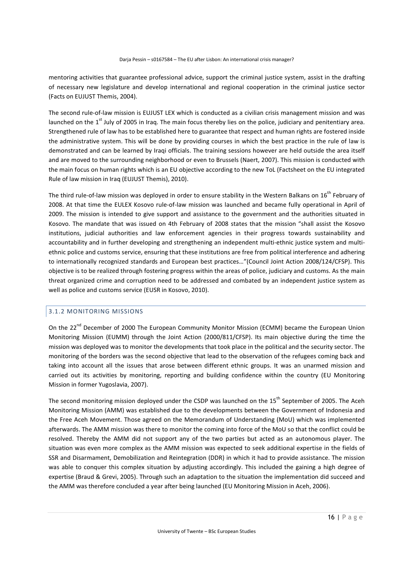mentoring activities that guarantee professional advice, support the criminal justice system, assist in the drafting of necessary new legislature and develop international and regional cooperation in the criminal justice sector (Facts on EUJUST Themis, 2004).

The second rule-of-law mission is EUJUST LEX which is conducted as a civilian crisis management mission and was launched on the  $1<sup>st</sup>$  July of 2005 in Iraq. The main focus thereby lies on the police, judiciary and penitentiary area. Strengthened rule of law has to be established here to guarantee that respect and human rights are fostered inside the administrative system. This will be done by providing courses in which the best practice in the rule of law is demonstrated and can be learned by Iraqi officials. The training sessions however are held outside the area itself and are moved to the surrounding neighborhood or even to Brussels (Naert, 2007). This mission is conducted with the main focus on human rights which is an EU objective according to the new ToL (Factsheet on the EU integrated Rule of law mission in Iraq (EUJUST Themis), 2010).

The third rule-of-law mission was deployed in order to ensure stability in the Western Balkans on 16<sup>th</sup> February of 2008. At that time the EULEX Kosovo rule-of-law mission was launched and became fully operational in April of 2009. The mission is intended to give support and assistance to the government and the authorities situated in Kosovo. The mandate that was issued on 4th February of 2008 states that the mission "shall assist the Kosovo institutions, judicial authorities and law enforcement agencies in their progress towards sustainability and accountability and in further developing and strengthening an independent multi-ethnic justice system and multiethnic police and customs service, ensuring that these institutions are free from political interference and adhering to internationally recognized standards and European best practices…"(Council Joint Action 2008/124/CFSP). This objective is to be realized through fostering progress within the areas of police, judiciary and customs. As the main threat organized crime and corruption need to be addressed and combated by an independent justice system as well as police and customs service (EUSR in Kosovo, 2010).

# 3.1.2 MONITORING MISSIONS

On the 22<sup>nd</sup> December of 2000 The European Community Monitor Mission (ECMM) became the European Union Monitoring Mission (EUMM) through the Joint Action (2000/811/CFSP). Its main objective during the time the mission was deployed was to monitor the developments that took place in the political and the security sector. The monitoring of the borders was the second objective that lead to the observation of the refugees coming back and taking into account all the issues that arose between different ethnic groups. It was an unarmed mission and carried out its activities by monitoring, reporting and building confidence within the country (EU Monitoring Mission in former Yugoslavia, 2007).

The second monitoring mission deployed under the CSDP was launched on the 15<sup>th</sup> September of 2005. The Aceh Monitoring Mission (AMM) was established due to the developments between the Government of Indonesia and the Free Aceh Movement. Those agreed on the Memorandum of Understanding (MoU) which was implemented afterwards. The AMM mission was there to monitor the coming into force of the MoU so that the conflict could be resolved. Thereby the AMM did not support any of the two parties but acted as an autonomous player. The situation was even more complex as the AMM mission was expected to seek additional expertise in the fields of SSR and Disarmament, Demobilization and Reintegration (DDR) in which it had to provide assistance. The mission was able to conquer this complex situation by adjusting accordingly. This included the gaining a high degree of expertise (Braud & Grevi, 2005). Through such an adaptation to the situation the implementation did succeed and the AMM was therefore concluded a year after being launched (EU Monitoring Mission in Aceh, 2006).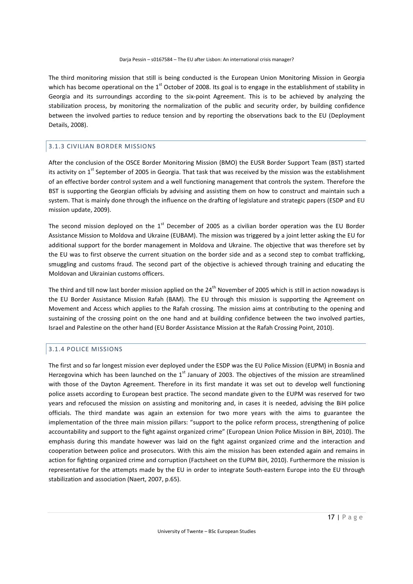The third monitoring mission that still is being conducted is the European Union Monitoring Mission in Georgia which has become operational on the 1<sup>st</sup> October of 2008. Its goal is to engage in the establishment of stability in Georgia and its surroundings according to the six-point Agreement. This is to be achieved by analyzing the stabilization process, by monitoring the normalization of the public and security order, by building confidence between the involved parties to reduce tension and by reporting the observations back to the EU (Deployment Details, 2008).

## 3.1.3 CIVILIAN BORDER MISSIONS

After the conclusion of the OSCE Border Monitoring Mission (BMO) the EUSR Border Support Team (BST) started its activity on  $1<sup>st</sup>$  September of 2005 in Georgia. That task that was received by the mission was the establishment of an effective border control system and a well functioning management that controls the system. Therefore the BST is supporting the Georgian officials by advising and assisting them on how to construct and maintain such a system. That is mainly done through the influence on the drafting of legislature and strategic papers (ESDP and EU mission update, 2009).

The second mission deployed on the  $1<sup>st</sup>$  December of 2005 as a civilian border operation was the EU Border Assistance Mission to Moldova and Ukraine (EUBAM). The mission was triggered by a joint letter asking the EU for additional support for the border management in Moldova and Ukraine. The objective that was therefore set by the EU was to first observe the current situation on the border side and as a second step to combat trafficking, smuggling and customs fraud. The second part of the objective is achieved through training and educating the Moldovan and Ukrainian customs officers.

The third and till now last border mission applied on the  $24<sup>th</sup>$  November of 2005 which is still in action nowadays is the EU Border Assistance Mission Rafah (BAM). The EU through this mission is supporting the Agreement on Movement and Access which applies to the Rafah crossing. The mission aims at contributing to the opening and sustaining of the crossing point on the one hand and at building confidence between the two involved parties, Israel and Palestine on the other hand (EU Border Assistance Mission at the Rafah Crossing Point, 2010).

# 3.1.4 POLICE MISSIONS

The first and so far longest mission ever deployed under the ESDP was the EU Police Mission (EUPM) in Bosnia and Herzegovina which has been launched on the  $1<sup>st</sup>$  January of 2003. The objectives of the mission are streamlined with those of the Dayton Agreement. Therefore in its first mandate it was set out to develop well functioning police assets according to European best practice. The second mandate given to the EUPM was reserved for two years and refocused the mission on assisting and monitoring and, in cases it is needed, advising the BiH police officials. The third mandate was again an extension for two more years with the aims to guarantee the implementation of the three main mission pillars: "support to the police reform process, strengthening of police accountability and support to the fight against organized crime" (European Union Police Mission in BiH, 2010). The emphasis during this mandate however was laid on the fight against organized crime and the interaction and cooperation between police and prosecutors. With this aim the mission has been extended again and remains in action for fighting organized crime and corruption (Factsheet on the EUPM BiH, 2010). Furthermore the mission is representative for the attempts made by the EU in order to integrate South-eastern Europe into the EU through stabilization and association (Naert, 2007, p.65).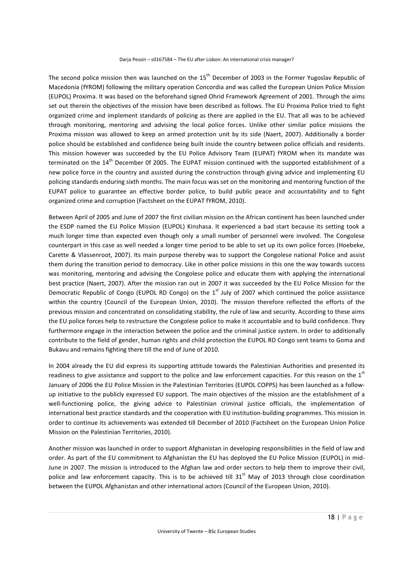The second police mission then was launched on the 15<sup>th</sup> December of 2003 in the Former Yugoslav Republic of Macedonia (fYROM) following the military operation Concordia and was called the European Union Police Mission (EUPOL) Proxima. It was based on the beforehand signed Ohrid Framework Agreement of 2001. Through the aims set out therein the objectives of the mission have been described as follows. The EU Proxima Police tried to fight organized crime and implement standards of policing as there are applied in the EU. That all was to be achieved through monitoring, mentoring and advising the local police forces. Unlike other similar police missions the Proxima mission was allowed to keep an armed protection unit by its side (Naert, 2007). Additionally a border police should be established and confidence being built inside the country between police officials and residents. This mission however was succeeded by the EU Police Advisory Team (EUPAT) fYROM when its mandate was terminated on the 14<sup>th</sup> December 0f 2005. The EUPAT mission continued with the supported establishment of a new police force in the country and assisted during the construction through giving advice and implementing EU policing standards enduring sixth months. The main focus was set on the monitoring and mentoring function of the EUPAT police to guarantee an effective border police, to build public peace and accountability and to fight organized crime and corruption (Factsheet on the EUPAT fYROM, 2010).

Between April of 2005 and June of 2007 the first civilian mission on the African continent has been launched under the ESDP named the EU Police Mission (EUPOL) Kinshasa. It experienced a bad start because its setting took a much longer time than expected even though only a small number of personnel were involved. The Congolese counterpart in this case as well needed a longer time period to be able to set up its own police forces (Hoebeke, Carette & Vlassenroot, 2007). Its main purpose thereby was to support the Congolese national Police and assist them during the transition period to democracy. Like in other police missions in this one the way towards success was monitoring, mentoring and advising the Congolese police and educate them with applying the international best practice (Naert, 2007). After the mission ran out in 2007 it was succeeded by the EU Police Mission for the Democratic Republic of Congo (EUPOL RD Congo) on the  $1<sup>st</sup>$  July of 2007 which continued the police assistance within the country (Council of the European Union, 2010). The mission therefore reflected the efforts of the previous mission and concentrated on consolidating stability, the rule of law and security. According to these aims the EU police forces help to restructure the Congolese police to make it accountable and to build confidence. They furthermore engage in the interaction between the police and the criminal justice system. In order to additionally contribute to the field of gender, human rights and child protection the EUPOL RD Congo sent teams to Goma and Bukavu and remains fighting there till the end of June of 2010.

In 2004 already the EU did express its supporting attitude towards the Palestinian Authorities and presented its readiness to give assistance and support to the police and law enforcement capacities. For this reason on the 1<sup>st</sup> January of 2006 the EU Police Mission in the Palestinian Territories (EUPOL COPPS) has been launched as a followup initiative to the publicly expressed EU support. The main objectives of the mission are the establishment of a well-functioning police, the giving advice to Palestinian criminal justice officials, the implementation of international best practice standards and the cooperation with EU institution-building programmes. This mission in order to continue its achievements was extended till December of 2010 (Factsheet on the European Union Police Mission on the Palestinian Territories, 2010).

Another mission was launched in order to support Afghanistan in developing responsibilities in the field of law and order. As part of the EU commitment to Afghanistan the EU has deployed the EU Police Mission (EUPOL) in mid-June in 2007. The mission is introduced to the Afghan law and order sectors to help them to improve their civil, police and law enforcement capacity. This is to be achieved till  $31<sup>st</sup>$  May of 2013 through close coordination between the EUPOL Afghanistan and other international actors (Council of the European Union, 2010).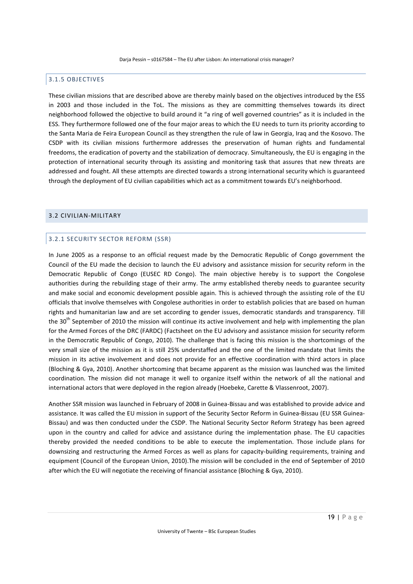# 3.1.5 OBJECTIVES

These civilian missions that are described above are thereby mainly based on the objectives introduced by the ESS in 2003 and those included in the ToL. The missions as they are committing themselves towards its direct neighborhood followed the objective to build around it "a ring of well governed countries" as it is included in the ESS. They furthermore followed one of the four major areas to which the EU needs to turn its priority according to the Santa Maria de Feira European Council as they strengthen the rule of law in Georgia, Iraq and the Kosovo. The CSDP with its civilian missions furthermore addresses the preservation of human rights and fundamental freedoms, the eradication of poverty and the stabilization of democracy. Simultaneously, the EU is engaging in the protection of international security through its assisting and monitoring task that assures that new threats are addressed and fought. All these attempts are directed towards a strong international security which is guaranteed through the deployment of EU civilian capabilities which act as a commitment towards EU's neighborhood.

## 3.2 CIVILIAN-MILITARY

#### 3.2.1 SECURITY SECTOR REFORM (SSR)

In June 2005 as a response to an official request made by the Democratic Republic of Congo government the Council of the EU made the decision to launch the EU advisory and assistance mission for security reform in the Democratic Republic of Congo (EUSEC RD Congo). The main objective hereby is to support the Congolese authorities during the rebuilding stage of their army. The army established thereby needs to guarantee security and make social and economic development possible again. This is achieved through the assisting role of the EU officials that involve themselves with Congolese authorities in order to establish policies that are based on human rights and humanitarian law and are set according to gender issues, democratic standards and transparency. Till the  $30<sup>th</sup>$  September of 2010 the mission will continue its active involvement and help with implementing the plan for the Armed Forces of the DRC (FARDC) (Factsheet on the EU advisory and assistance mission for security reform in the Democratic Republic of Congo, 2010). The challenge that is facing this mission is the shortcomings of the very small size of the mission as it is still 25% understaffed and the one of the limited mandate that limits the mission in its active involvement and does not provide for an effective coordination with third actors in place (Bloching & Gya, 2010). Another shortcoming that became apparent as the mission was launched was the limited coordination. The mission did not manage it well to organize itself within the network of all the national and international actors that were deployed in the region already (Hoebeke, Carette & Vlassenroot, 2007).

Another SSR mission was launched in February of 2008 in Guinea-Bissau and was established to provide advice and assistance. It was called the EU mission in support of the Security Sector Reform in Guinea-Bissau (EU SSR Guinea-Bissau) and was then conducted under the CSDP. The National Security Sector Reform Strategy has been agreed upon in the country and called for advice and assistance during the implementation phase. The EU capacities thereby provided the needed conditions to be able to execute the implementation. Those include plans for downsizing and restructuring the Armed Forces as well as plans for capacity-building requirements, training and equipment (Council of the European Union, 2010).The mission will be concluded in the end of September of 2010 after which the EU will negotiate the receiving of financial assistance (Bloching & Gya, 2010).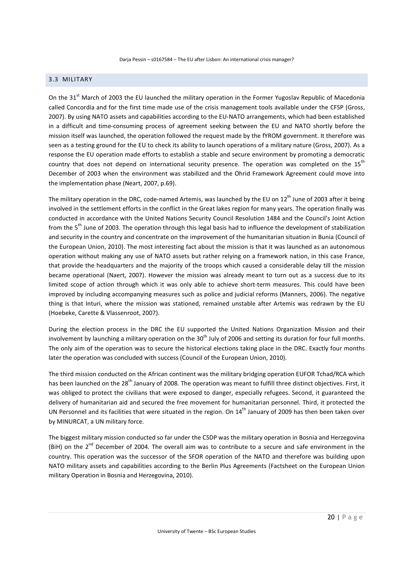# 3.3 MILITARY

On the 31<sup>st</sup> March of 2003 the EU launched the military operation in the Former Yugoslav Republic of Macedonia called Concordia and for the first time made use of the crisis management tools available under the CFSP (Gross, 2007). By using NATO assets and capabilities according to the EU-NATO arrangements, which had been established in a difficult and time-consuming process of agreement seeking between the EU and NATO shortly before the mission itself was launched, the operation followed the request made by the fYROM government. It therefore was seen as a testing ground for the EU to check its ability to launch operations of a military nature (Gross, 2007). As a response the EU operation made efforts to establish a stable and secure environment by promoting a democratic country that does not depend on international security presence. The operation was completed on the 15<sup>th</sup> December of 2003 when the environment was stabilized and the Ohrid Framework Agreement could move into the implementation phase (Neart, 2007, p.69).

The military operation in the DRC, code-named Artemis, was launched by the EU on  $12<sup>th</sup>$  June of 2003 after it being involved in the settlement efforts in the conflict in the Great lakes region for many years. The operation finally was conducted in accordance with the United Nations Security Council Resolution 1484 and the Council's Joint Action from the 5<sup>th</sup> June of 2003. The operation through this legal basis had to influence the development of stabilization and security in the country and concentrate on the improvement of the humanitarian situation in Bunia (Council of the European Union, 2010). The most interesting fact about the mission is that it was launched as an autonomous operation without making any use of NATO assets but rather relying on a framework nation, in this case France, that provide the headquarters and the majority of the troops which caused a considerable delay till the mission became operational (Naert, 2007). However the mission was already meant to turn out as a success due to its limited scope of action through which it was only able to achieve short-term measures. This could have been improved by including accompanying measures such as police and judicial reforms (Manners, 2006). The negative thing is that Inturi, where the mission was stationed, remained unstable after Artemis was redrawn by the EU (Hoebeke, Carette & Vlassenroot, 2007).

During the election process in the DRC the EU supported the United Nations Organization Mission and their involvement by launching a military operation on the  $30<sup>th</sup>$  July of 2006 and setting its duration for four full months. The only aim of the operation was to secure the historical elections taking place in the DRC. Exactly four months later the operation was concluded with success (Council of the European Union, 2010).

The third mission conducted on the African continent was the military bridging operation EUFOR Tchad/RCA which has been launched on the 28<sup>th</sup> January of 2008. The operation was meant to fulfill three distinct objectives. First, it was obliged to protect the civilians that were exposed to danger, especially refugees. Second, it guaranteed the delivery of humanitarian aid and secured the free movement for humanitarian personnel. Third, it protected the UN Personnel and its facilities that were situated in the region. On  $14<sup>th</sup>$  January of 2009 has then been taken over by MINURCAT, a UN military force.

The biggest military mission conducted so far under the CSDP was the military operation in Bosnia and Herzegovina (BiH) on the  $2^{nd}$  December of 2004. The overall aim was to contribute to a secure and safe environment in the country. This operation was the successor of the SFOR operation of the NATO and therefore was building upon NATO military assets and capabilities according to the Berlin Plus Agreements (Factsheet on the European Union military Operation in Bosnia and Herzegovina, 2010).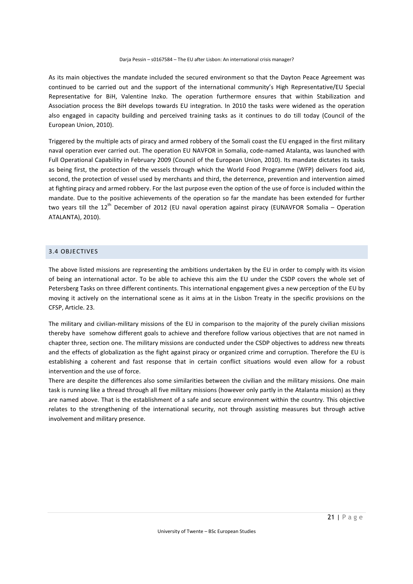As its main objectives the mandate included the secured environment so that the Dayton Peace Agreement was continued to be carried out and the support of the international community's High Representative/EU Special Representative for BiH, Valentine Inzko. The operation furthermore ensures that within Stabilization and Association process the BiH develops towards EU integration. In 2010 the tasks were widened as the operation also engaged in capacity building and perceived training tasks as it continues to do till today (Council of the European Union, 2010).

Triggered by the multiple acts of piracy and armed robbery of the Somali coast the EU engaged in the first military naval operation ever carried out. The operation EU NAVFOR in Somalia, code-named Atalanta, was launched with Full Operational Capability in February 2009 (Council of the European Union, 2010). Its mandate dictates its tasks as being first, the protection of the vessels through which the World Food Programme (WFP) delivers food aid, second, the protection of vessel used by merchants and third, the deterrence, prevention and intervention aimed at fighting piracy and armed robbery. For the last purpose even the option of the use of force is included within the mandate. Due to the positive achievements of the operation so far the mandate has been extended for further two years till the 12<sup>th</sup> December of 2012 (EU naval operation against piracy (EUNAVFOR Somalia – Operation ATALANTA), 2010).

# 3.4 OBJECTIVES

The above listed missions are representing the ambitions undertaken by the EU in order to comply with its vision of being an international actor. To be able to achieve this aim the EU under the CSDP covers the whole set of Petersberg Tasks on three different continents. This international engagement gives a new perception of the EU by moving it actively on the international scene as it aims at in the Lisbon Treaty in the specific provisions on the CFSP, Article. 23.

The military and civilian-military missions of the EU in comparison to the majority of the purely civilian missions thereby have somehow different goals to achieve and therefore follow various objectives that are not named in chapter three, section one. The military missions are conducted under the CSDP objectives to address new threats and the effects of globalization as the fight against piracy or organized crime and corruption. Therefore the EU is establishing a coherent and fast response that in certain conflict situations would even allow for a robust intervention and the use of force.

There are despite the differences also some similarities between the civilian and the military missions. One main task is running like a thread through all five military missions (however only partly in the Atalanta mission) as they are named above. That is the establishment of a safe and secure environment within the country. This objective relates to the strengthening of the international security, not through assisting measures but through active involvement and military presence.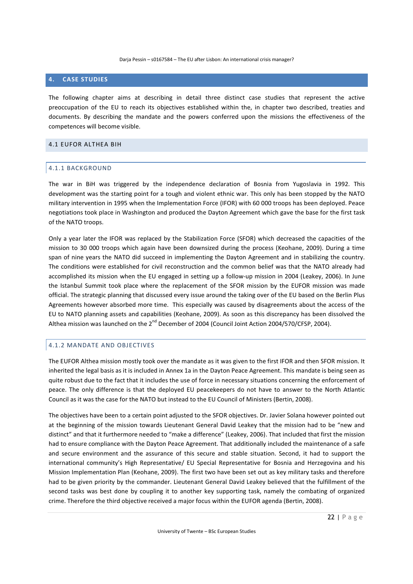# **4. CASE STUDIES**

The following chapter aims at describing in detail three distinct case studies that represent the active preoccupation of the EU to reach its objectives established within the, in chapter two described, treaties and documents. By describing the mandate and the powers conferred upon the missions the effectiveness of the competences will become visible.

#### 4.1 EUFOR ALTHEA BIH

## 4.1.1 BACKGROUND

The war in BiH was triggered by the independence declaration of Bosnia from Yugoslavia in 1992. This development was the starting point for a tough and violent ethnic war. This only has been stopped by the NATO military intervention in 1995 when the Implementation Force (IFOR) with 60 000 troops has been deployed. Peace negotiations took place in Washington and produced the Dayton Agreement which gave the base for the first task of the NATO troops.

Only a year later the IFOR was replaced by the Stabilization Force (SFOR) which decreased the capacities of the mission to 30 000 troops which again have been downsized during the process (Keohane, 2009). During a time span of nine years the NATO did succeed in implementing the Dayton Agreement and in stabilizing the country. The conditions were established for civil reconstruction and the common belief was that the NATO already had accomplished its mission when the EU engaged in setting up a follow-up mission in 2004 (Leakey, 2006). In June the Istanbul Summit took place where the replacement of the SFOR mission by the EUFOR mission was made official. The strategic planning that discussed every issue around the taking over of the EU based on the Berlin Plus Agreements however absorbed more time. This especially was caused by disagreements about the access of the EU to NATO planning assets and capabilities (Keohane, 2009). As soon as this discrepancy has been dissolved the Althea mission was launched on the 2<sup>nd</sup> December of 2004 (Council Joint Action 2004/570/CFSP, 2004).

# 4.1.2 MANDATE AND OBJECTIVES

The EUFOR Althea mission mostly took over the mandate as it was given to the first IFOR and then SFOR mission. It inherited the legal basis as it is included in Annex 1a in the Dayton Peace Agreement. This mandate is being seen as quite robust due to the fact that it includes the use of force in necessary situations concerning the enforcement of peace. The only difference is that the deployed EU peacekeepers do not have to answer to the North Atlantic Council as it was the case for the NATO but instead to the EU Council of Ministers (Bertin, 2008).

The objectives have been to a certain point adjusted to the SFOR objectives. Dr. Javier Solana however pointed out at the beginning of the mission towards Lieutenant General David Leakey that the mission had to be "new and distinct" and that it furthermore needed to "make a difference" (Leakey, 2006). That included that first the mission had to ensure compliance with the Dayton Peace Agreement. That additionally included the maintenance of a safe and secure environment and the assurance of this secure and stable situation. Second, it had to support the international community's High Representative/ EU Special Representative for Bosnia and Herzegovina and his Mission Implementation Plan (Keohane, 2009). The first two have been set out as key military tasks and therefore had to be given priority by the commander. Lieutenant General David Leakey believed that the fulfillment of the second tasks was best done by coupling it to another key supporting task, namely the combating of organized crime. Therefore the third objective received a major focus within the EUFOR agenda (Bertin, 2008).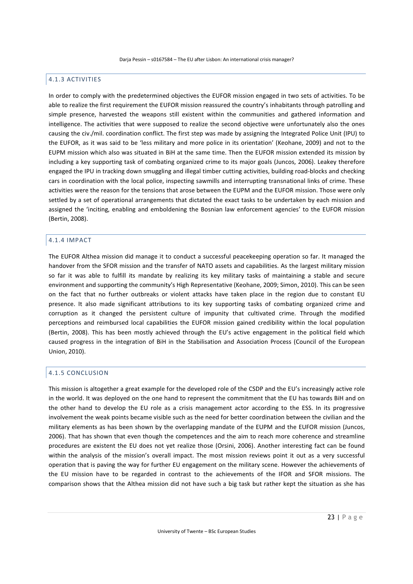# 4.1.3 ACTIVITIES

In order to comply with the predetermined objectives the EUFOR mission engaged in two sets of activities. To be able to realize the first requirement the EUFOR mission reassured the country's inhabitants through patrolling and simple presence, harvested the weapons still existent within the communities and gathered information and intelligence. The activities that were supposed to realize the second objective were unfortunately also the ones causing the civ./mil. coordination conflict. The first step was made by assigning the Integrated Police Unit (IPU) to the EUFOR, as it was said to be 'less military and more police in its orientation' (Keohane, 2009) and not to the EUPM mission which also was situated in BiH at the same time. Then the EUFOR mission extended its mission by including a key supporting task of combating organized crime to its major goals (Juncos, 2006). Leakey therefore engaged the IPU in tracking down smuggling and illegal timber cutting activities, building road-blocks and checking cars in coordination with the local police, inspecting sawmills and interrupting transnational links of crime. These activities were the reason for the tensions that arose between the EUPM and the EUFOR mission. Those were only settled by a set of operational arrangements that dictated the exact tasks to be undertaken by each mission and assigned the 'inciting, enabling and emboldening the Bosnian law enforcement agencies' to the EUFOR mission (Bertin, 2008).

#### 4.1.4 IMPACT

The EUFOR Althea mission did manage it to conduct a successful peacekeeping operation so far. It managed the handover from the SFOR mission and the transfer of NATO assets and capabilities. As the largest military mission so far it was able to fulfill its mandate by realizing its key military tasks of maintaining a stable and secure environment and supporting the community's High Representative (Keohane, 2009; Simon, 2010). This can be seen on the fact that no further outbreaks or violent attacks have taken place in the region due to constant EU presence. It also made significant attributions to its key supporting tasks of combating organized crime and corruption as it changed the persistent culture of impunity that cultivated crime. Through the modified perceptions and reimbursed local capabilities the EUFOR mission gained credibility within the local population (Bertin, 2008). This has been mostly achieved through the EU's active engagement in the political field which caused progress in the integration of BiH in the Stabilisation and Association Process (Council of the European Union, 2010).

#### 4.1.5 CONCLUSION

This mission is altogether a great example for the developed role of the CSDP and the EU's increasingly active role in the world. It was deployed on the one hand to represent the commitment that the EU has towards BiH and on the other hand to develop the EU role as a crisis management actor according to the ESS. In its progressive involvement the weak points became visible such as the need for better coordination between the civilian and the military elements as has been shown by the overlapping mandate of the EUPM and the EUFOR mission (Juncos, 2006). That has shown that even though the competences and the aim to reach more coherence and streamline procedures are existent the EU does not yet realize those (Orsini, 2006). Another interesting fact can be found within the analysis of the mission's overall impact. The most mission reviews point it out as a very successful operation that is paving the way for further EU engagement on the military scene. However the achievements of the EU mission have to be regarded in contrast to the achievements of the IFOR and SFOR missions. The comparison shows that the Althea mission did not have such a big task but rather kept the situation as she has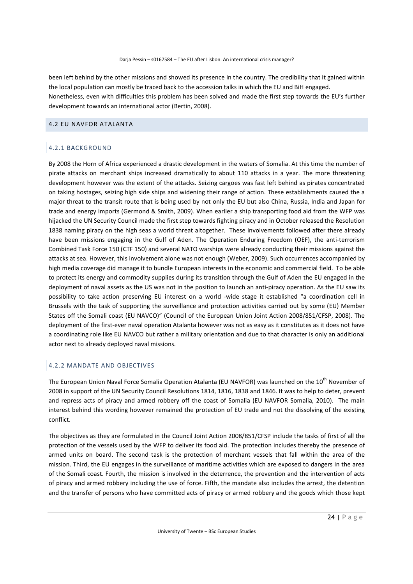been left behind by the other missions and showed its presence in the country. The credibility that it gained within the local population can mostly be traced back to the accession talks in which the EU and BiH engaged. Nonetheless, even with difficulties this problem has been solved and made the first step towards the EU's further development towards an international actor (Bertin, 2008).

## 4.2 EU NAVFOR ATALANTA

# 4.2.1 BACKGROUND

By 2008 the Horn of Africa experienced a drastic development in the waters of Somalia. At this time the number of pirate attacks on merchant ships increased dramatically to about 110 attacks in a year. The more threatening development however was the extent of the attacks. Seizing cargoes was fast left behind as pirates concentrated on taking hostages, seizing high side ships and widening their range of action. These establishments caused the a major threat to the transit route that is being used by not only the EU but also China, Russia, India and Japan for trade and energy imports (Germond & Smith, 2009). When earlier a ship transporting food aid from the WFP was hijacked the UN Security Council made the first step towards fighting piracy and in October released the Resolution 1838 naming piracy on the high seas a world threat altogether. These involvements followed after there already have been missions engaging in the Gulf of Aden. The Operation Enduring Freedom (OEF), the anti-terrorism Combined Task Force 150 (CTF 150) and several NATO warships were already conducting their missions against the attacks at sea. However, this involvement alone was not enough (Weber, 2009). Such occurrences accompanied by high media coverage did manage it to bundle European interests in the economic and commercial field. To be able to protect its energy and commodity supplies during its transition through the Gulf of Aden the EU engaged in the deployment of naval assets as the US was not in the position to launch an anti-piracy operation. As the EU saw its possibility to take action preserving EU interest on a world -wide stage it established "a coordination cell in Brussels with the task of supporting the surveillance and protection activities carried out by some (EU) Member States off the Somali coast (EU NAVCO)" (Council of the European Union Joint Action 2008/851/CFSP, 2008). The deployment of the first-ever naval operation Atalanta however was not as easy as it constitutes as it does not have a coordinating role like EU NAVCO but rather a military orientation and due to that character is only an additional actor next to already deployed naval missions.

# 4.2.2 MANDATE AND OBJECTIVES

The European Union Naval Force Somalia Operation Atalanta (EU NAVFOR) was launched on the 10<sup>th</sup> November of 2008 in support of the UN Security Council Resolutions 1814, 1816, 1838 and 1846. It was to help to deter, prevent and repress acts of piracy and armed robbery off the coast of Somalia (EU NAVFOR Somalia, 2010). The main interest behind this wording however remained the protection of EU trade and not the dissolving of the existing conflict.

The objectives as they are formulated in the Council Joint Action 2008/851/CFSP include the tasks of first of all the protection of the vessels used by the WFP to deliver its food aid. The protection includes thereby the presence of armed units on board. The second task is the protection of merchant vessels that fall within the area of the mission. Third, the EU engages in the surveillance of maritime activities which are exposed to dangers in the area of the Somali coast. Fourth, the mission is involved in the deterrence, the prevention and the intervention of acts of piracy and armed robbery including the use of force. Fifth, the mandate also includes the arrest, the detention and the transfer of persons who have committed acts of piracy or armed robbery and the goods which those kept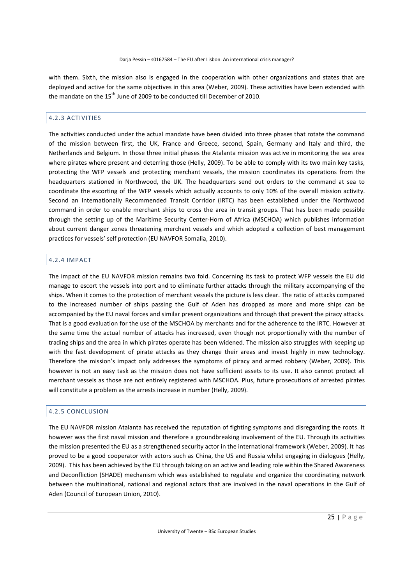with them. Sixth, the mission also is engaged in the cooperation with other organizations and states that are deployed and active for the same objectives in this area (Weber, 2009). These activities have been extended with the mandate on the 15<sup>th</sup> June of 2009 to be conducted till December of 2010.

# 4.2.3 ACTIVITIES

The activities conducted under the actual mandate have been divided into three phases that rotate the command of the mission between first, the UK, France and Greece, second, Spain, Germany and Italy and third, the Netherlands and Belgium. In those three initial phases the Atalanta mission was active in monitoring the sea area where pirates where present and deterring those (Helly, 2009). To be able to comply with its two main key tasks, protecting the WFP vessels and protecting merchant vessels, the mission coordinates its operations from the headquarters stationed in Northwood, the UK. The headquarters send out orders to the command at sea to coordinate the escorting of the WFP vessels which actually accounts to only 10% of the overall mission activity. Second an Internationally Recommended Transit Corridor (IRTC) has been established under the Northwood command in order to enable merchant ships to cross the area in transit groups. That has been made possible through the setting up of the Maritime Security Center-Horn of Africa (MSCHOA) which publishes information about current danger zones threatening merchant vessels and which adopted a collection of best management practices for vessels' self protection (EU NAVFOR Somalia, 2010).

## 4.2.4 IMPACT

The impact of the EU NAVFOR mission remains two fold. Concerning its task to protect WFP vessels the EU did manage to escort the vessels into port and to eliminate further attacks through the military accompanying of the ships. When it comes to the protection of merchant vessels the picture is less clear. The ratio of attacks compared to the increased number of ships passing the Gulf of Aden has dropped as more and more ships can be accompanied by the EU naval forces and similar present organizations and through that prevent the piracy attacks. That is a good evaluation for the use of the MSCHOA by merchants and for the adherence to the IRTC. However at the same time the actual number of attacks has increased, even though not proportionally with the number of trading ships and the area in which pirates operate has been widened. The mission also struggles with keeping up with the fast development of pirate attacks as they change their areas and invest highly in new technology. Therefore the mission's impact only addresses the symptoms of piracy and armed robbery (Weber, 2009). This however is not an easy task as the mission does not have sufficient assets to its use. It also cannot protect all merchant vessels as those are not entirely registered with MSCHOA. Plus, future prosecutions of arrested pirates will constitute a problem as the arrests increase in number (Helly, 2009).

#### 4.2.5 CONCLUSION

The EU NAVFOR mission Atalanta has received the reputation of fighting symptoms and disregarding the roots. It however was the first naval mission and therefore a groundbreaking involvement of the EU. Through its activities the mission presented the EU as a strengthened security actor in the international framework (Weber, 2009). It has proved to be a good cooperator with actors such as China, the US and Russia whilst engaging in dialogues (Helly, 2009). This has been achieved by the EU through taking on an active and leading role within the Shared Awareness and Deconfliction (SHADE) mechanism which was established to regulate and organize the coordinating network between the multinational, national and regional actors that are involved in the naval operations in the Gulf of Aden (Council of European Union, 2010).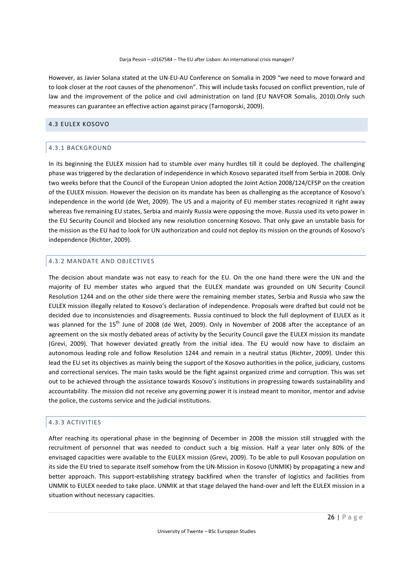However, as Javier Solana stated at the UN-EU-AU Conference on Somalia in 2009 "we need to move forward and to look closer at the root causes of the phenomenon". This will include tasks focused on conflict prevention, rule of law and the improvement of the police and civil administration on land (EU NAVFOR Somalis, 2010).Only such measures can guarantee an effective action against piracy (Tarnogorski, 2009).

#### 4.3 EULEX KOSOVO

# 4.3.1 BACKGROUND

In its beginning the EULEX mission had to stumble over many hurdles till it could be deployed. The challenging phase was triggered by the declaration of independence in which Kosovo separated itself from Serbia in 2008. Only two weeks before that the Council of the European Union adopted the Joint Action 2008/124/CFSP on the creation of the EULEX mission. However the decision on its mandate has been as challenging as the acceptance of Kosovo's independence in the world (de Wet, 2009). The US and a majority of EU member states recognized it right away whereas five remaining EU states, Serbia and mainly Russia were opposing the move. Russia used its veto power in the EU Security Council and blocked any new resolution concerning Kosovo. That only gave an unstable basis for the mission as the EU had to look for UN authorization and could not deploy its mission on the grounds of Kosovo's independence (Richter, 2009).

# 4.3.2 MANDATE AND OBJECTIVES

The decision about mandate was not easy to reach for the EU. On the one hand there were the UN and the majority of EU member states who argued that the EULEX mandate was grounded on UN Security Council Resolution 1244 and on the other side there were the remaining member states, Serbia and Russia who saw the EULEX mission illegally related to Kosovo's declaration of independence. Proposals were drafted but could not be decided due to inconsistencies and disagreements. Russia continued to block the full deployment of EULEX as it was planned for the 15<sup>th</sup> June of 2008 (de Wet, 2009). Only in November of 2008 after the acceptance of an agreement on the six mostly debated areas of activity by the Security Council gave the EULEX mission its mandate (Grevi, 2009). That however deviated greatly from the initial idea. The EU would now have to disclaim an autonomous leading role and follow Resolution 1244 and remain in a neutral status (Richter, 2009). Under this lead the EU set its objectives as mainly being the support of the Kosovo authorities in the police, judiciary, customs and correctional services. The main tasks would be the fight against organized crime and corruption. This was set out to be achieved through the assistance towards Kosovo's institutions in progressing towards sustainability and accountability. The mission did not receive any governing power it is instead meant to monitor, mentor and advise the police, the customs service and the judicial institutions.

# 4.3.3 ACTIVITIES

After reaching its operational phase in the beginning of December in 2008 the mission still struggled with the recruitment of personnel that was needed to conduct such a big mission. Half a year later only 80% of the envisaged capacities were available to the EULEX mission (Grevi, 2009). To be able to pull Kosovan population on its side the EU tried to separate itself somehow from the UN-Mission in Kosovo (UNMIK) by propagating a new and better approach. This support-establishing strategy backfired when the transfer of logistics and facilities from UNMIK to EULEX needed to take place. UNMIK at that stage delayed the hand-over and left the EULEX mission in a situation without necessary capacities.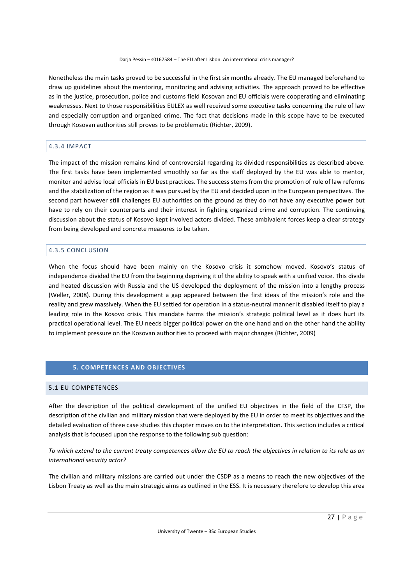Nonetheless the main tasks proved to be successful in the first six months already. The EU managed beforehand to draw up guidelines about the mentoring, monitoring and advising activities. The approach proved to be effective as in the justice, prosecution, police and customs field Kosovan and EU officials were cooperating and eliminating weaknesses. Next to those responsibilities EULEX as well received some executive tasks concerning the rule of law and especially corruption and organized crime. The fact that decisions made in this scope have to be executed through Kosovan authorities still proves to be problematic (Richter, 2009).

## 4.3.4 IMPACT

The impact of the mission remains kind of controversial regarding its divided responsibilities as described above. The first tasks have been implemented smoothly so far as the staff deployed by the EU was able to mentor, monitor and advise local officials in EU best practices. The success stems from the promotion of rule of law reforms and the stabilization of the region as it was pursued by the EU and decided upon in the European perspectives. The second part however still challenges EU authorities on the ground as they do not have any executive power but have to rely on their counterparts and their interest in fighting organized crime and corruption. The continuing discussion about the status of Kosovo kept involved actors divided. These ambivalent forces keep a clear strategy from being developed and concrete measures to be taken.

#### 4.3.5 CONCLUSION

When the focus should have been mainly on the Kosovo crisis it somehow moved. Kosovo's status of independence divided the EU from the beginning depriving it of the ability to speak with a unified voice. This divide and heated discussion with Russia and the US developed the deployment of the mission into a lengthy process (Weller, 2008). During this development a gap appeared between the first ideas of the mission's role and the reality and grew massively. When the EU settled for operation in a status-neutral manner it disabled itself to play a leading role in the Kosovo crisis. This mandate harms the mission's strategic political level as it does hurt its practical operational level. The EU needs bigger political power on the one hand and on the other hand the ability to implement pressure on the Kosovan authorities to proceed with major changes (Richter, 2009)

# **5. COMPETENCES AND OBJECTIVES**

# 5.1 EU COMPETENCES

After the description of the political development of the unified EU objectives in the field of the CFSP, the description of the civilian and military mission that were deployed by the EU in order to meet its objectives and the detailed evaluation of three case studies this chapter moves on to the interpretation. This section includes a critical analysis that is focused upon the response to the following sub question:

*To which extend to the current treaty competences allow the EU to reach the objectives in relation to its role as an international security actor?* 

The civilian and military missions are carried out under the CSDP as a means to reach the new objectives of the Lisbon Treaty as well as the main strategic aims as outlined in the ESS. It is necessary therefore to develop this area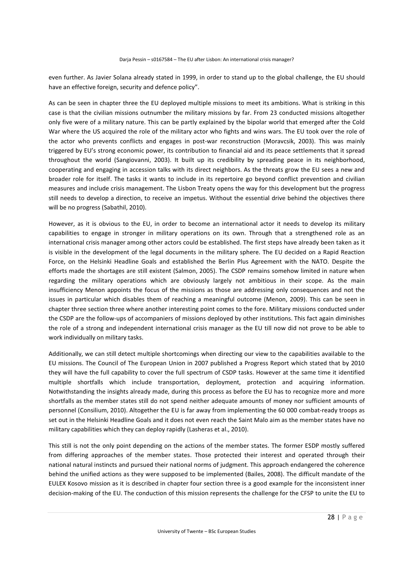even further. As Javier Solana already stated in 1999, in order to stand up to the global challenge, the EU should have an effective foreign, security and defence policy".

As can be seen in chapter three the EU deployed multiple missions to meet its ambitions. What is striking in this case is that the civilian missions outnumber the military missions by far. From 23 conducted missions altogether only five were of a military nature. This can be partly explained by the bipolar world that emerged after the Cold War where the US acquired the role of the military actor who fights and wins wars. The EU took over the role of the actor who prevents conflicts and engages in post-war reconstruction (Moravcsik, 2003). This was mainly triggered by EU's strong economic power, its contribution to financial aid and its peace settlements that it spread throughout the world (Sangiovanni, 2003). It built up its credibility by spreading peace in its neighborhood, cooperating and engaging in accession talks with its direct neighbors. As the threats grow the EU sees a new and broader role for itself. The tasks it wants to include in its repertoire go beyond conflict prevention and civilian measures and include crisis management. The Lisbon Treaty opens the way for this development but the progress still needs to develop a direction, to receive an impetus. Without the essential drive behind the objectives there will be no progress (Sabathil, 2010).

However, as it is obvious to the EU, in order to become an international actor it needs to develop its military capabilities to engage in stronger in military operations on its own. Through that a strengthened role as an international crisis manager among other actors could be established. The first steps have already been taken as it is visible in the development of the legal documents in the military sphere. The EU decided on a Rapid Reaction Force, on the Helsinki Headline Goals and established the Berlin Plus Agreement with the NATO. Despite the efforts made the shortages are still existent (Salmon, 2005). The CSDP remains somehow limited in nature when regarding the military operations which are obviously largely not ambitious in their scope. As the main insufficiency Menon appoints the focus of the missions as those are addressing only consequences and not the issues in particular which disables them of reaching a meaningful outcome (Menon, 2009). This can be seen in chapter three section three where another interesting point comes to the fore. Military missions conducted under the CSDP are the follow-ups of accompaniers of missions deployed by other institutions. This fact again diminishes the role of a strong and independent international crisis manager as the EU till now did not prove to be able to work individually on military tasks.

Additionally, we can still detect multiple shortcomings when directing our view to the capabilities available to the EU missions. The Council of The European Union in 2007 published a Progress Report which stated that by 2010 they will have the full capability to cover the full spectrum of CSDP tasks. However at the same time it identified multiple shortfalls which include transportation, deployment, protection and acquiring information. Notwithstanding the insights already made, during this process as before the EU has to recognize more and more shortfalls as the member states still do not spend neither adequate amounts of money nor sufficient amounts of personnel (Consilium, 2010). Altogether the EU is far away from implementing the 60 000 combat-ready troops as set out in the Helsinki Headline Goals and it does not even reach the Saint Malo aim as the member states have no military capabilities which they can deploy rapidly (Lasheras et al., 2010).

This still is not the only point depending on the actions of the member states. The former ESDP mostly suffered from differing approaches of the member states. Those protected their interest and operated through their national natural instincts and pursued their national norms of judgment. This approach endangered the coherence behind the unified actions as they were supposed to be implemented (Bailes, 2008). The difficult mandate of the EULEX Kosovo mission as it is described in chapter four section three is a good example for the inconsistent inner decision-making of the EU. The conduction of this mission represents the challenge for the CFSP to unite the EU to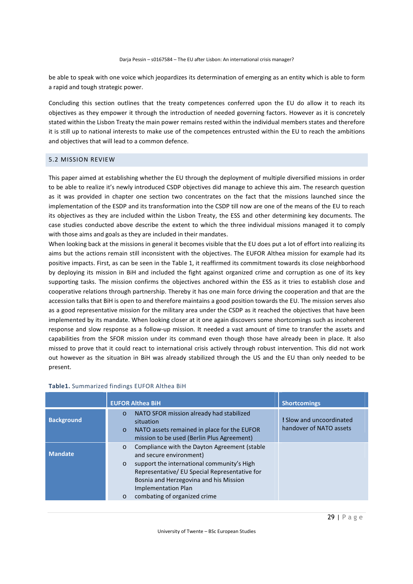be able to speak with one voice which jeopardizes its determination of emerging as an entity which is able to form a rapid and tough strategic power.

Concluding this section outlines that the treaty competences conferred upon the EU do allow it to reach its objectives as they empower it through the introduction of needed governing factors. However as it is concretely stated within the Lisbon Treaty the main power remains rested within the individual members states and therefore it is still up to national interests to make use of the competences entrusted within the EU to reach the ambitions and objectives that will lead to a common defence.

#### 5.2 MISSION REVIEW

This paper aimed at establishing whether the EU through the deployment of multiple diversified missions in order to be able to realize it's newly introduced CSDP objectives did manage to achieve this aim. The research question as it was provided in chapter one section two concentrates on the fact that the missions launched since the implementation of the ESDP and its transformation into the CSDP till now are one of the means of the EU to reach its objectives as they are included within the Lisbon Treaty, the ESS and other determining key documents. The case studies conducted above describe the extent to which the three individual missions managed it to comply with those aims and goals as they are included in their mandates.

When looking back at the missions in general it becomes visible that the EU does put a lot of effort into realizing its aims but the actions remain still inconsistent with the objectives. The EUFOR Althea mission for example had its positive impacts. First, as can be seen in the Table 1, it reaffirmed its commitment towards its close neighborhood by deploying its mission in BiH and included the fight against organized crime and corruption as one of its key supporting tasks. The mission confirms the objectives anchored within the ESS as it tries to establish close and cooperative relations through partnership. Thereby it has one main force driving the cooperation and that are the accession talks that BiH is open to and therefore maintains a good position towards the EU. The mission serves also as a good representative mission for the military area under the CSDP as it reached the objectives that have been implemented by its mandate. When looking closer at it one again discovers some shortcomings such as incoherent response and slow response as a follow-up mission. It needed a vast amount of time to transfer the assets and capabilities from the SFOR mission under its command even though those have already been in place. It also missed to prove that it could react to international crisis actively through robust intervention. This did not work out however as the situation in BiH was already stabilized through the US and the EU than only needed to be present.

|                   | <b>EUFOR Althea BiH</b>                                                                                                                                                                                                                                                                                         | <b>Shortcomings</b>                                 |
|-------------------|-----------------------------------------------------------------------------------------------------------------------------------------------------------------------------------------------------------------------------------------------------------------------------------------------------------------|-----------------------------------------------------|
| <b>Background</b> | NATO SFOR mission already had stabilized<br>$\circ$<br>situation<br>NATO assets remained in place for the EUFOR<br>$\circ$<br>mission to be used (Berlin Plus Agreement)                                                                                                                                        | ! Slow and uncoordinated<br>handover of NATO assets |
| <b>Mandate</b>    | Compliance with the Dayton Agreement (stable<br>$\circ$<br>and secure environment)<br>support the international community's High<br>$\circ$<br>Representative/ EU Special Representative for<br>Bosnia and Herzegovina and his Mission<br><b>Implementation Plan</b><br>combating of organized crime<br>$\circ$ |                                                     |

# **Table1.** Summarized findings EUFOR Althea BiH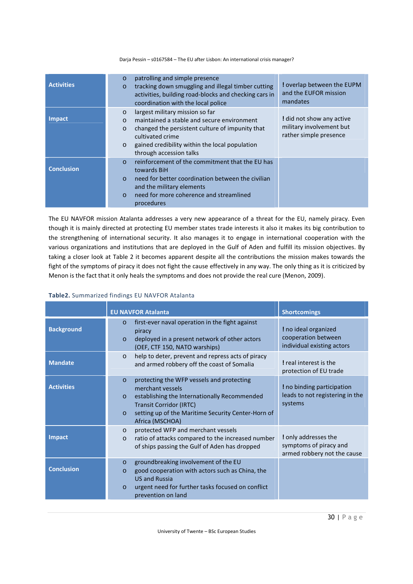| <b>Activities</b> | patrolling and simple presence<br>O<br>tracking down smuggling and illegal timber cutting<br>O<br>activities, building road-blocks and checking cars in<br>coordination with the local police                                                                                  | ! overlap between the EUPM<br>and the EUFOR mission<br>mandates                 |
|-------------------|--------------------------------------------------------------------------------------------------------------------------------------------------------------------------------------------------------------------------------------------------------------------------------|---------------------------------------------------------------------------------|
| <b>Impact</b>     | largest military mission so far<br>$\circ$<br>maintained a stable and secure environment<br>$\Omega$<br>changed the persistent culture of impunity that<br>$\circ$<br>cultivated crime<br>gained credibility within the local population<br>$\circ$<br>through accession talks | ! did not show any active<br>military involvement but<br>rather simple presence |
| <b>Conclusion</b> | reinforcement of the commitment that the EU has<br>$\Omega$<br>towards BiH<br>need for better coordination between the civilian<br>$\Omega$<br>and the military elements<br>need for more coherence and streamlined<br>$\circ$<br>procedures                                   |                                                                                 |

The EU NAVFOR mission Atalanta addresses a very new appearance of a threat for the EU, namely piracy. Even though it is mainly directed at protecting EU member states trade interests it also it makes its big contribution to the strengthening of international security. It also manages it to engage in international cooperation with the various organizations and institutions that are deployed in the Gulf of Aden and fulfill its mission objectives. By taking a closer look at Table 2 it becomes apparent despite all the contributions the mission makes towards the fight of the symptoms of piracy it does not fight the cause effectively in any way. The only thing as it is criticized by Menon is the fact that it only heals the symptoms and does not provide the real cure (Menon, 2009).

# **Table2.** Summarized findings EU NAVFOR Atalanta

|                   | <b>EU NAVFOR Atalanta</b>                                                                                                                                                                                                                                  | <b>Shortcomings</b>                                                           |
|-------------------|------------------------------------------------------------------------------------------------------------------------------------------------------------------------------------------------------------------------------------------------------------|-------------------------------------------------------------------------------|
| <b>Background</b> | first-ever naval operation in the fight against<br>$\Omega$<br>piracy<br>deployed in a present network of other actors<br>$\circ$<br>(OEF, CTF 150, NATO warships)                                                                                         | ! no ideal organized<br>cooperation between<br>individual existing actors     |
| <b>Mandate</b>    | help to deter, prevent and repress acts of piracy<br>$\circ$<br>and armed robbery off the coast of Somalia                                                                                                                                                 | ! real interest is the<br>protection of EU trade                              |
| <b>Activities</b> | protecting the WFP vessels and protecting<br>$\Omega$<br>merchant vessels<br>establishing the Internationally Recommended<br>$\circ$<br><b>Transit Corridor (IRTC)</b><br>setting up of the Maritime Security Center-Horn of<br>$\circ$<br>Africa (MSCHOA) | I no binding participation<br>leads to not registering in the<br>systems      |
| <b>Impact</b>     | protected WFP and merchant vessels<br>$\circ$<br>ratio of attacks compared to the increased number<br>$\Omega$<br>of ships passing the Gulf of Aden has dropped                                                                                            | ! only addresses the<br>symptoms of piracy and<br>armed robbery not the cause |
| <b>Conclusion</b> | groundbreaking involvement of the EU<br>$\circ$<br>good cooperation with actors such as China, the<br>$\Omega$<br><b>US and Russia</b><br>urgent need for further tasks focused on conflict<br>$\circ$<br>prevention on land                               |                                                                               |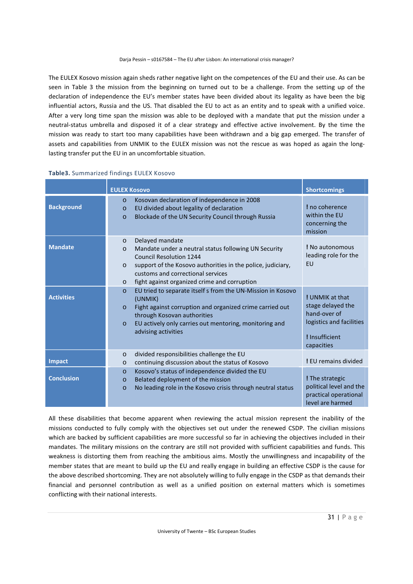The EULEX Kosovo mission again sheds rather negative light on the competences of the EU and their use. As can be seen in Table 3 the mission from the beginning on turned out to be a challenge. From the setting up of the declaration of independence the EU's member states have been divided about its legality as have been the big influential actors, Russia and the US. That disabled the EU to act as an entity and to speak with a unified voice. After a very long time span the mission was able to be deployed with a mandate that put the mission under a neutral-status umbrella and disposed it of a clear strategy and effective active involvement. By the time the mission was ready to start too many capabilities have been withdrawn and a big gap emerged. The transfer of assets and capabilities from UNMIK to the EULEX mission was not the rescue as was hoped as again the longlasting transfer put the EU in an uncomfortable situation.

|                   | <b>EULEX Kosovo</b>                                                                                                                                                                                                                                                                                | <b>Shortcomings</b>                                                                                              |
|-------------------|----------------------------------------------------------------------------------------------------------------------------------------------------------------------------------------------------------------------------------------------------------------------------------------------------|------------------------------------------------------------------------------------------------------------------|
| <b>Background</b> | Kosovan declaration of independence in 2008<br>$\Omega$<br>EU divided about legality of declaration<br>$\circ$<br>Blockade of the UN Security Council through Russia<br>$\circ$                                                                                                                    | I no coherence<br>within the EU<br>concerning the<br>mission                                                     |
| <b>Mandate</b>    | Delayed mandate<br>$\circ$<br>Mandate under a neutral status following UN Security<br>$\circ$<br>Council Resolution 1244<br>support of the Kosovo authorities in the police, judiciary,<br>$\circ$<br>customs and correctional services<br>fight against organized crime and corruption<br>$\circ$ | ! No autonomous<br>leading role for the<br>EU                                                                    |
| <b>Activities</b> | EU tried to separate itself s from the UN-Mission in Kosovo<br>$\circ$<br>(UNMIK)<br>Fight against corruption and organized crime carried out<br>$\circ$<br>through Kosovan authorities<br>EU actively only carries out mentoring, monitoring and<br>$\circ$<br>advising activities                | ! UNMIK at that<br>stage delayed the<br>hand-over of<br>logistics and facilities<br>! Insufficient<br>capacities |
| <b>Impact</b>     | divided responsibilities challenge the EU<br>$\circ$<br>continuing discussion about the status of Kosovo<br>$\circ$                                                                                                                                                                                | ! EU remains divided                                                                                             |
| <b>Conclusion</b> | Kosovo's status of independence divided the EU<br>$\circ$<br>Belated deployment of the mission<br>$\circ$<br>No leading role in the Kosovo crisis through neutral status<br>$\circ$                                                                                                                | ! The strategic<br>political level and the<br>practical operational<br>level are harmed                          |

**Table3.** Summarized findings EULEX Kosovo

All these disabilities that become apparent when reviewing the actual mission represent the inability of the missions conducted to fully comply with the objectives set out under the renewed CSDP. The civilian missions which are backed by sufficient capabilities are more successful so far in achieving the objectives included in their mandates. The military missions on the contrary are still not provided with sufficient capabilities and funds. This weakness is distorting them from reaching the ambitious aims. Mostly the unwillingness and incapability of the member states that are meant to build up the EU and really engage in building an effective CSDP is the cause for the above described shortcoming. They are not absolutely willing to fully engage in the CSDP as that demands their financial and personnel contribution as well as a unified position on external matters which is sometimes conflicting with their national interests.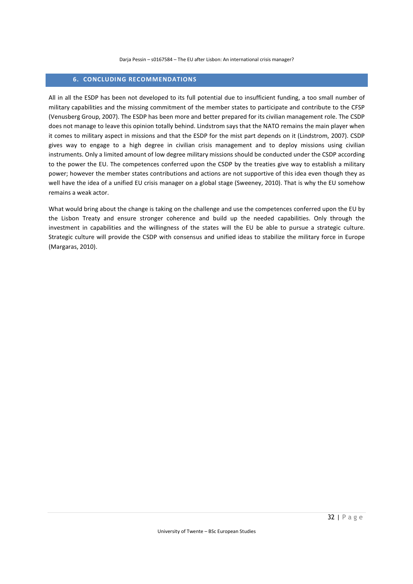# **6. CONCLUDING RECOMMENDATIONS**

All in all the ESDP has been not developed to its full potential due to insufficient funding, a too small number of military capabilities and the missing commitment of the member states to participate and contribute to the CFSP (Venusberg Group, 2007). The ESDP has been more and better prepared for its civilian management role. The CSDP does not manage to leave this opinion totally behind. Lindstrom says that the NATO remains the main player when it comes to military aspect in missions and that the ESDP for the mist part depends on it (Lindstrom, 2007). CSDP gives way to engage to a high degree in civilian crisis management and to deploy missions using civilian instruments. Only a limited amount of low degree military missions should be conducted under the CSDP according to the power the EU. The competences conferred upon the CSDP by the treaties give way to establish a military power; however the member states contributions and actions are not supportive of this idea even though they as well have the idea of a unified EU crisis manager on a global stage (Sweeney, 2010). That is why the EU somehow remains a weak actor.

What would bring about the change is taking on the challenge and use the competences conferred upon the EU by the Lisbon Treaty and ensure stronger coherence and build up the needed capabilities. Only through the investment in capabilities and the willingness of the states will the EU be able to pursue a strategic culture. Strategic culture will provide the CSDP with consensus and unified ideas to stabilize the military force in Europe (Margaras, 2010).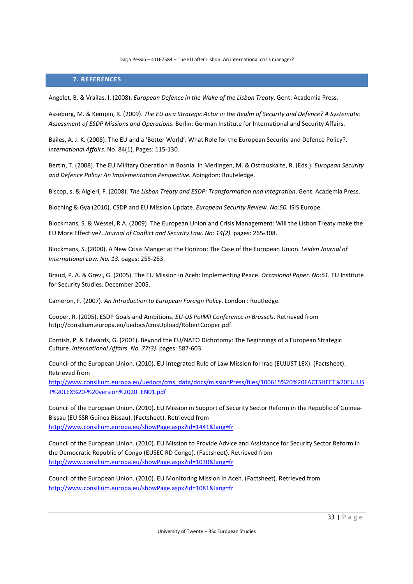# **7. REFERENCES**

Angelet, B. & Vrailas, I. (2008). *European Defence in the Wake of the Lisbon Treaty*. Gent: Academia Press.

Asseburg, M. & Kempin, R. (2009). *The EU as a Strategic Actor in the Realm of Security and Defence? A Systematic Assessment of ESDP Missions and Operations.* Berlin: German Institute for International and Security Affairs.

Bailes, A. J. K. (2008). The EU and a 'Better World': What Role for the European Security and Defence Policy?. *International Affairs.* No. 84(1). Pages: 115-130.

Bertin, T. (2008). The EU Military Operation In Bosnia. In Merlingen, M. & Ostrauskaite, R. (Eds.). *European Security and Defence Policy: An Implementation Perspective.* Abingdon: Routeledge.

Biscop, s. & Algieri, F. (2008). *The Lisbon Treaty and ESDP: Transformation and Integration*. Gent: Academia Press.

Bloching & Gya (2010). CSDP and EU Mission Update. *European Security Review. No:50.* ISIS Europe.

Blockmans, S. & Wessel, R.A. (2009). The European Union and Crisis Management: Will the Lisbon Treaty make the EU More Effective?. *Journal of Conflict and Security Law. No: 14(2).* pages: 265-308.

Blockmans, S. (2000). A New Crisis Manger at the Horizon: The Case of the European Union. *Leiden Journal of International Law. No. 13.* pages: 255-263.

Braud, P. A. & Grevi, G. (2005). The EU Mission in Aceh: Implementing Peace. *Occasional Paper. No:61.* EU Institute for Security Studies. December 2005.

Cameron, F. (2007). *An Introduction to European Foreign Policy*. London : Routledge.

Cooper, R. (2005). ESDP Goals and Ambitions. *EU-US PolMil Conference in Brussels.* Retrieved from http://consilium.europa.eu/uedocs/cmsUpload/RobertCooper.pdf.

Cornish, P. & Edwards, G. (2001). Beyond the EU/NATO Dichotomy: The Beginnings of a European Strategic Culture. *International Affairs. No. 77(3).* pages: 587-603.

Council of the European Union. (2010). EU Integrated Rule of Law Mission for Iraq (EUJUST LEX). (Factsheet). Retrieved from

http://www.consilium.europa.eu/uedocs/cms\_data/docs/missionPress/files/100615%20%20FACTSHEET%20EUJUS T%20LEX%20-%20version%2020\_EN01.pdf

Council of the European Union. (2010). EU Mission in Support of Security Sector Reform in the Republic of Guinea-Bissau (EU SSR Guinea Bissau). (Factsheet). Retrieved from http://www.consilium.europa.eu/showPage.aspx?id=1441&lang=fr

Council of the European Union. (2010). EU Mission to Provide Advice and Assistance for Security Sector Reform in the Democratic Republic of Congo (EUSEC RD Congo). (Factsheet). Retrieved from http://www.consilium.europa.eu/showPage.aspx?id=1030&lang=fr

Council of the European Union. (2010). EU Monitoring Mission in Aceh. (Factsheet). Retrieved from http://www.consilium.europa.eu/showPage.aspx?id=1081&lang=fr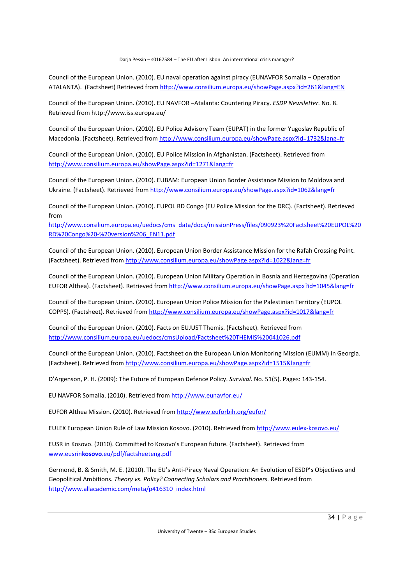Council of the European Union. (2010). EU naval operation against piracy (EUNAVFOR Somalia – Operation ATALANTA). (Factsheet) Retrieved from http://www.consilium.europa.eu/showPage.aspx?id=261&lang=EN

Council of the European Union. (2010). EU NAVFOR –Atalanta: Countering Piracy. *ESDP Newsletter.* No. 8. Retrieved from http://www.iss.europa.eu/

Council of the European Union. (2010). EU Police Advisory Team (EUPAT) in the former Yugoslav Republic of Macedonia. (Factsheet). Retrieved from http://www.consilium.europa.eu/showPage.aspx?id=1732&lang=fr

Council of the European Union. (2010). EU Police Mission in Afghanistan. (Factsheet). Retrieved from http://www.consilium.europa.eu/showPage.aspx?id=1271&lang=fr

Council of the European Union. (2010). EUBAM: European Union Border Assistance Mission to Moldova and Ukraine. (Factsheet). Retrieved from http://www.consilium.europa.eu/showPage.aspx?id=1062&lang=fr

Council of the European Union. (2010). EUPOL RD Congo (EU Police Mission for the DRC). (Factsheet). Retrieved from

http://www.consilium.europa.eu/uedocs/cms\_data/docs/missionPress/files/090923%20Factsheet%20EUPOL%20 RD%20Congo%20-%20version%206\_EN11.pdf

Council of the European Union. (2010). European Union Border Assistance Mission for the Rafah Crossing Point. (Factsheet). Retrieved from http://www.consilium.europa.eu/showPage.aspx?id=1022&lang=fr

Council of the European Union. (2010). European Union Military Operation in Bosnia and Herzegovina (Operation EUFOR Althea). (Factsheet). Retrieved from http://www.consilium.europa.eu/showPage.aspx?id=1045&lang=fr

Council of the European Union. (2010). European Union Police Mission for the Palestinian Territory (EUPOL COPPS). (Factsheet). Retrieved from http://www.consilium.europa.eu/showPage.aspx?id=1017&lang=fr

Council of the European Union. (2010). Facts on EUJUST Themis. (Factsheet). Retrieved from http://www.consilium.europa.eu/uedocs/cmsUpload/Factsheet%20THEMIS%20041026.pdf

Council of the European Union. (2010). Factsheet on the European Union Monitoring Mission (EUMM) in Georgia. (Factsheet). Retrieved from http://www.consilium.europa.eu/showPage.aspx?id=1515&lang=fr

D'Argenson, P. H. (2009): The Future of European Defence Policy. *Survival.* No. 51(5). Pages: 143-154.

EU NAVFOR Somalia. (2010). Retrieved from http://www.eunavfor.eu/

EUFOR Althea Mission. (2010). Retrieved from http://www.euforbih.org/eufor/

EULEX European Union Rule of Law Mission Kosovo. (2010). Retrieved from http://www.eulex-kosovo.eu/

EUSR in Kosovo. (2010). Committed to Kosovo's European future. (Factsheet). Retrieved from www.eusrin**kosovo**.eu/pdf/factsheeteng.pdf

Germond, B. & Smith, M. E. (2010). The EU's Anti-Piracy Naval Operation: An Evolution of ESDP's Objectives and Geopolitical Ambitions. *Theory vs. Policy? Connecting Scholars and Practitioners.* Retrieved from http://www.allacademic.com/meta/p416310\_index.html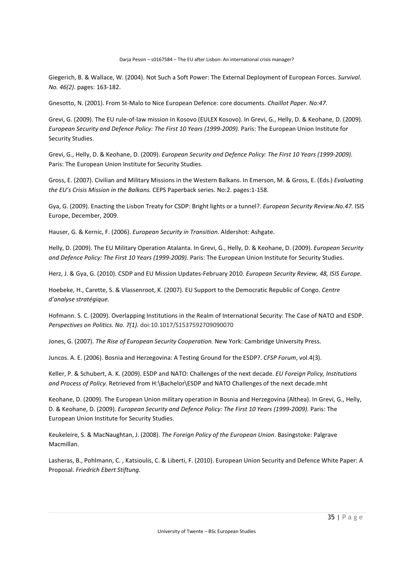Giegerich, B. & Wallace, W. (2004). Not Such a Soft Power: The External Deployment of European Forces. *Survival. No. 46(2).* pages: 163-182.

Gnesotto, N. (2001). From St-Malo to Nice European Defence: core documents. *Chaillot Paper. No:47.* 

Grevi, G. (2009). The EU rule-of-law mission in Kosovo (EULEX Kosovo). In Grevi, G., Helly, D. & Keohane, D. (2009). *European Security and Defence Policy: The First 10 Years (1999-2009).* Paris: The European Union Institute for Security Studies.

Grevi, G., Helly, D. & Keohane, D. (2009). *European Security and Defence Policy: The First 10 Years (1999-2009).*  Paris: The European Union Institute for Security Studies.

Gross, E. (2007). Civilian and Military Missions in the Western Balkans. In Emerson, M. & Gross, E. (Eds.) *Evaluating the EU's Crisis Mission in the Balkans.* CEPS Paperback series. No:2. pages:1-158.

Gya, G. (2009). Enacting the Lisbon Treaty for CSDP: Bright lights or a tunnel?. *European Security Review.No.47.* ISIS Europe, December, 2009.

Hauser, G. & Kernic, F. (2006). *European Security in Transition*. Aldershot: Ashgate.

Helly, D. (2009). The EU Military Operation Atalanta. In Grevi, G., Helly, D. & Keohane, D. (2009). *European Security and Defence Policy: The First 10 Years (1999-2009).* Paris: The European Union Institute for Security Studies.

Herz, J. & Gya, G. (2010). CSDP and EU Mission Updates-February 2010. *European Security Review, 48, ISIS Europe.* 

Hoebeke, H., Carette, S. & Vlassenroot, K. (2007). EU Support to the Democratic Republic of Congo. *Centre d'analyse stratégique.*

Hofmann. S. C. (2009). Overlapping Institutions in the Realm of International Security: The Case of NATO and ESDP. *Perspectives on Politics. No. 7(1).* doi:10.1017/S1537592709090070

Jones, G. (2007). *The Rise of European Security Cooperation.* New York: Cambridge University Press.

Juncos. A. E. (2006). Bosnia and Herzegovina: A Testing Ground for the ESDP?. *CFSP Forum*, vol.4(3).

Keller, P. & Schubert, A. K. (2009). ESDP and NATO: Challenges of the next decade. *EU Foreign Policy, Institutions and Process of Policy.* Retrieved from H:\Bachelor\ESDP and NATO Challenges of the next decade.mht

Keohane, D. (2009). The European Union military operation in Bosnia and Herzegovina (Althea). In Grevi, G., Helly, D. & Keohane, D. (2009). *European Security and Defence Policy: The First 10 Years (1999-2009).* Paris: The European Union Institute for Security Studies.

Keukeleire, S. & MacNaughtan, J. (2008). *The Foreign Policy of the European Union*. Basingstoke: Palgrave Macmillan.

Lasheras, B., Pohlmann, C. , Katsioulis, C. & Liberti, F. (2010). European Union Security and Defence White Paper: A Proposal. *Friedrich Ebert Stiftung.*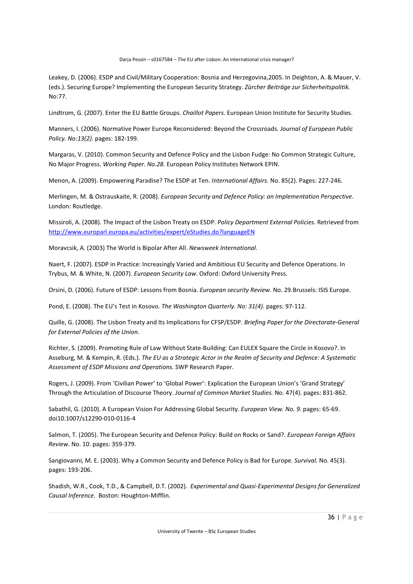Leakey, D. (2006). ESDP and Civil/Military Cooperation: Bosnia and Herzegovina,2005. In Deighton, A. & Mauer, V. (eds.). Securing Europe? Implementing the European Security Strategy. *Zürcher Beiträge zur Sicherheitspolitik.*  No:77.

Lindtrom, G. (2007). Enter the EU Battle Groups. *Chaillot Papers.* European Union Institute for Security Studies.

Manners, I. (2006). Normative Power Europe Reconsidered: Beyond the Crossroads. *Journal of European Public Policy. No:13(2).* pages: 182-199.

Margaras, V. (2010). Common Security and Defence Policy and the Lisbon Fudge: No Common Strategic Culture, No Major Progress. *Working Paper. No.28.* European Policy Institutes Network EPIN.

Menon, A. (2009). Empowering Paradise? The ESDP at Ten. *International Affairs.* No. 85(2). Pages: 227-246.

Merlingen, M. & Ostrauskaite, R. (2008). *European Security and Defence Policy: an Implementation Perspective*. London: Routledge.

Missiroli, A. (2008). The Impact of the Lisbon Treaty on ESDP. *Policy Department External Policies.* Retrieved from http://www.europarl.europa.eu/activities/expert/eStudies.do?languageEN

Moravcsik, A. (2003) The World is Bipolar After All. *Newsweek International.* 

Naert, F. (2007). ESDP in Practice: Increasingly Varied and Ambitious EU Security and Defence Operations. In Trybus, M. & White, N. (2007). *European Security Law*. Oxford: Oxford University Press.

Orsini, D. (2006). Future of ESDP: Lessons from Bosnia. *European security Review.* No. 29.Brussels: ISIS Europe.

Pond, E. (2008). The EU's Test in Kosovo. *The Washington Quarterly. No: 31(4).* pages: 97-112.

Quille, G. (2008). The Lisbon Treaty and Its Implications for CFSP/ESDP. *Briefing Paper for the Directorate-General for External Policies of the Union.* 

Richter, S. (2009). Promoting Rule of Law Without State-Building: Can EULEX Square the Circle in Kosovo?. In Asseburg, M. & Kempin, R. (Eds.). *The EU as a Strategic Actor in the Realm of Security and Defence: A Systematic Assessment of ESDP Missions and Operations.* SWP Research Paper.

Rogers, J. (2009). From 'Civilian Power' to 'Global Power': Explication the European Union's 'Grand Strategy' Through the Articulation of Discourse Theory. *Journal of Common Market Studies.* No. 47(4). pages: 831-862.

Sabathil, G. (2010). A European Vision For Addressing Global Security. *European View. No. 9.* pages: 65-69. doi10.1007/s12290-010-0116-4

Salmon, T. (2005). The European Security and Defence Policy: Build on Rocks or Sand?. *European Foreign Affairs Review.* No. 10. pages: 359-379.

Sangiovanni, M. E. (2003). Why a Common Security and Defence Policy is Bad for Europe. *Survival.* No. 45(3). pages: 193-206.

Shadish, W.R., Cook, T.D., & Campbell, D.T. (2002). *Experimental and Quasi-Experimental Designs for Generalized Causal Inference.* Boston: Houghton-Mifflin.